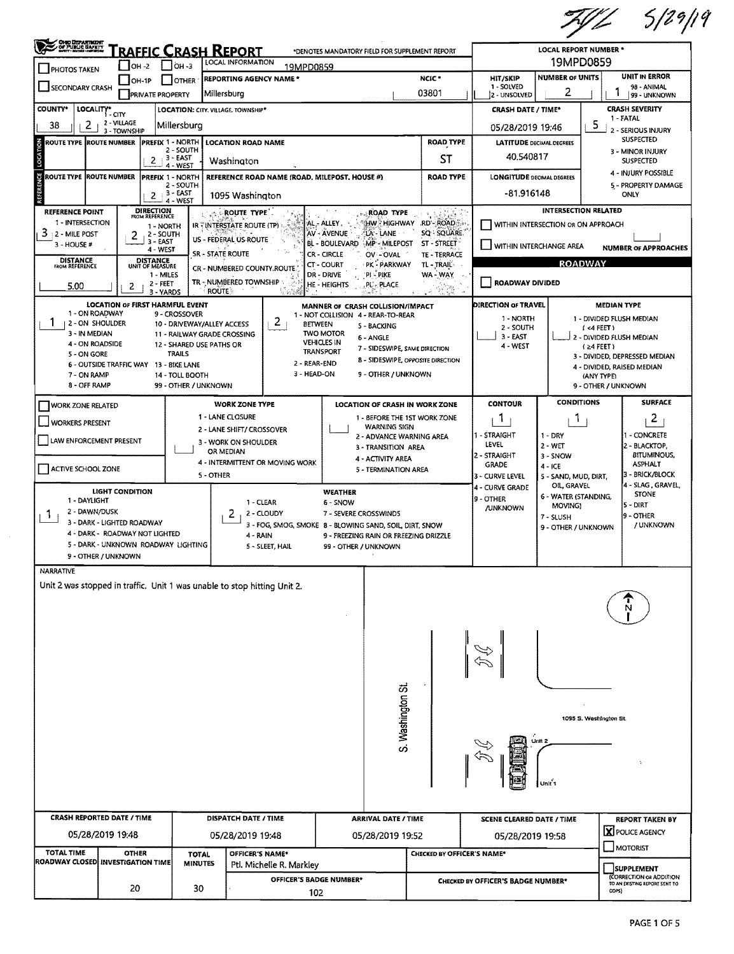$7912$  5/29/19

| <u>RAFFIC CRASH REPORT</u><br>*DENOTES MANDATORY FIELD FOR SUPPLEMENT REPORT<br>19MPD0859<br>LOCAL INFORMATION<br>$\Box$ OH -3<br>$IOH -2$<br>19MPD0859<br><b>PHOTOS TAKEN</b><br><b>UNIT IN ERROR</b><br><b>NUMBER OF UNITS</b><br>NCIC <sup>*</sup><br><b>HIT/SKIP</b><br><b>REPORTING AGENCY NAME*</b><br>$[OH-1P]$<br><b>I</b> OTHER<br>SECONDARY CRASH<br>1 - SOLVED<br>98 - ANIMAL<br>2<br>03801<br>Millersburg<br><b>PRIVATE PROPERTY</b><br>2 - UNSOLVED<br>99 - UNKNOWN<br><b>CRASH SEVERITY</b><br>LOCALITY* CITY<br><b>CRASH DATE / TIME*</b><br>LOCATION: CITY. VILLAGE. TOWNSHIP*<br>1 - FATAL<br>2 - VILLAGE<br>5<br>2<br>38<br>Millersburg<br>05/28/2019 19:46<br>2 - SERIOUS INJURY<br>3 - TOWNSHIP<br><b>SUSPECTED</b><br>LOCATION<br>PREFIX 1 - NORTH<br><b>ROAD TYPE</b><br>ROUTE TYPE IROUTE NUMBER<br><b>LOCATION ROAD NAME</b><br><b>LATITUDE DECIMAL DEGREES</b><br>2 - SOUTH<br>3 - MINOR INJURY<br>40.540817<br>$2 + 3 - EAST$<br>ST<br>Washington<br><b>SUSPECTED</b><br>4 - WEST<br>4 - INJURY POSSIBLE<br>ROUTE TYPE ROUTE NUMBER<br>REFERENCE ROAD NAME (ROAD, MILEPOST, HOUSE #)<br><b>ROAD TYPE</b><br><b>LONGITUDE DECIMAL DEGREES</b><br>PREFIX 1 - NORTH<br>2 - SOUTH<br>5 - PROPERTY DAMAGE<br>$2 + 3 - EAST$<br>-81,916148<br>ONLY<br>1095 Washington<br>4 - WEST<br>DIRECTION<br>FROM REFERENCE<br><b>INTERSECTION RELATED</b><br><b>REFERENCE POINT</b><br>ROAD TYPE<br>ROUTE TYPE<br>1 - INTERSECTION<br><b>RD'-ROAD</b><br>HW - HIGHWAY<br>AL, ALLEY.<br>WITHIN INTERSECTION OR ON APPROACH<br>IR : INTERSTATE ROUTE (TP)<br>1 - NORTH<br>$3 + 2 -$ MILE POST<br>SQ - SQUARE.<br>AV - AVENUE<br><b>LA - LANE</b><br>2 - SOUTH<br>2<br>US - FÉDERAL US ROUTE<br>3 - EAST<br>ST - STREET<br>BL - BOULEVARD MP - MILEPOST<br>3 - HOUSE #<br>WITHIN INTERCHANGE AREA<br><b>NUMBER OF APPROACHES</b><br>4 - WEST<br><b>SR - STATE ROUTE</b><br><b>CR-CIRCLE</b><br>TE - TERRACE<br>OV - OVAL<br>DISTANCE<br>UNIT OF MEASURE<br><b>DISTANCE</b><br>FROM REFERENCE<br><b>ROADWAY</b><br>PK - PARKWAY<br><b>CT-COURT</b><br>TL - TRAIL-<br>CR - NUMBERED COUNTY.ROUTE.<br><b>DR - DRIVE</b><br>WA-WAY<br>1 - MILES<br>'pi pike<br>TR - NUMBERED TOWNSHIP<br>ROADWAY DIVIDED<br>2 - FEET<br><b>HE-HEIGHTS</b><br>PL-PLACE<br>5.00<br>2<br><b>ROUTE</b><br>3 - YARDS<br><b>LOCATION OF FIRST HARMFUL EVENT</b><br>DIRECTION OF TRAVEL<br><b>MEDIAN TYPE</b><br>MANNER OF CRASH COLLISION/IMPACT<br>1 - ON ROADWAY<br>9 - CROSSOVER<br>1 - NOT COLLISION 4 - REAR-TO-REAR<br>1 - NORTH<br>1 - DIVIDED FLUSH MEDIAN<br>2<br>ı.<br>12 - ON SHOULDER<br>10 - DRIVEWAY/ALLEY ACCESS<br><b>BETWEEN</b><br>5 - BACKING<br>2 - SOUTH<br>(4 FERT)<br>3 - IN MEDIAN<br><b>TWO MOTOR</b><br>11 - RAILWAY GRADE CROSSING<br>$3 - EAST$<br>2 - DIVIDED FLUSH MEDIAN<br>6 - ANGLE<br><b>VEHICLES IN</b><br>4 - ON ROADSIDE<br>12 - SHARED USE PATHS OR<br>4 - WEST<br>$(24$ FEET)<br>7 - SIDESWIPE, SAME DIRECTION<br><b>TRANSPORT</b><br><b>TRAILS</b><br>5 - ON GORE<br>3 - DIVIDED, DEPRESSED MEDIAN<br>8 - SIDESWIPE, OPPOSITE DIRECTION<br>2 - REAR-END<br>6 - OUTSIDE TRAFFIC WAY 13 - BIKE LANE<br>4 - DIVIDED, RAISED MEDIAN<br>3 - HEAD-ON<br>9 - OTHER / UNKNOWN<br>7 - ON RAMP<br>14 - TOLL BOOTH<br>(ANY TYPE)<br>8 - OFF RAMP<br>99 - OTHER / UNKNOWN<br>9 - OTHER / UNKNOWN<br><b>CONDITIONS</b><br><b>SURFACE</b><br><b>CONTOUR</b><br><b>WORK ZONE TYPE</b><br><b>LOCATION OF CRASH IN WORK ZONE</b><br><b>WORK ZONE RELATED</b><br>1 - LANE CLOSURE<br>1 - BEFORE THE 1ST WORK ZONE<br>1.<br>$\overline{a}$<br>L<br><b>WORKERS PRESENT</b><br><b>WARNING SIGN</b><br>2 - LANE SHIFT/ CROSSOVER<br>1 - STRAIGHT<br>1 - CONCRETE<br>$1 - DRY$<br>2 - ADVANCE WARNING AREA<br>LAW ENFORCEMENT PRESENT<br>3 - WORK ON SHOULDER<br>LEVEL<br>$2 - WET$<br>2 - BLACKTOP,<br>3 - TRANSITION AREA<br>OR MEDIAN<br><b>BITUMINOUS,</b><br>2 - STRAIGHT<br>3 - SNOW<br>4 - ACTIVITY AREA<br>4 - INTERMITTENT OR MOVING WORK<br><b>ASPHALT</b><br><b>GRADE</b><br>$4 - ICE$<br>ACTIVE SCHOOL ZONE<br>5 - TERMINATION AREA<br>- BRICK/BLOCK<br>5 - OTHER<br>3 - CURVE LEVEL<br>5 - SAND, MUD, DIRT,<br>4 - SLAG, GRAVEL,<br>OIL, GRAVEL<br>4 - CURVE GRADE<br><b>LIGHT CONDITION</b><br><b>WEATHER</b><br><b>STONE</b><br>6 - WATER (STANDING,<br>9 - OTHER<br>1 - DAYLIGHT<br>1 - CLEAR<br>6 - SNOW<br> 5 - DIRT<br>MOVING)<br><b>/UNKNOWN</b><br>2 - DAWN/DUSK<br>2<br>2 - CLOUDY<br>7 - SEVERE CROSSWINDS<br>Т.<br>9 - OTHER<br>7 - SLUSH<br>3 - DARK - LIGHTED ROADWAY<br>3 - FOG, SMOG, SMOKE 8 - BLOWING SAND, SOIL, DIRT, SNOW<br>/ UNKNOWN<br>9 - OTHER / UNKNOWN<br>4 - DARK - ROADWAY NOT LIGHTED<br>4 - RAIN<br>9 - FREEZING RAIN OR FREEZING DRIZZLE<br>5 - DARK - UNKNOWN ROADWAY LIGHTING<br>5 - SLEET, HAIL<br>99 - OTHER / UNKNOWN<br>9 - OTHER / UNKNOWN<br>Unit 2 was stopped in traffic. Unit 1 was unable to stop hitting Unit 2.<br>S. Washington St<br>1095 S. Washington St.<br>Unit'i<br><b>CRASH REPORTED DATE / TIME</b><br>DISPATCH DATE / TIME<br><b>ARRIVAL DATE / TIME</b><br><b>SCENE CLEARED DATE / TIME</b><br><b>REPORT TAKEN BY</b><br>X POLICE AGENCY<br>05/28/2019 19:48<br>05/28/2019 19:48<br>05/28/2019 19:52<br>05/28/2019 19:58<br>MOTORIST<br><b>TOTAL TIME</b><br><b>OTHER</b><br>OFFICER'S NAME*<br>CHECKED BY OFFICER'S NAME*<br><b>TOTAL</b><br><b>ROADWAY CLOSED INVESTIGATION TIME</b><br><b>MINUTES</b><br>Ptl. Michelle R. Markley<br><b>SUPPLEMENT</b><br>(CORRECTION OR ADDITION<br>OFFICER'S BADGE NUMBER*<br>CHECKED BY OFFICER'S BADGE NUMBER*<br>TO AN EXISTING REPORT SENT TO<br>20<br>30<br>ODPS)<br>102 | <b>CHO DEPARTMENT</b><br>OF PUBLIC BAFRIT |  |  |  |  |  |  |  |  |  | LOCAL REPORT NUMBER * |  |  |
|----------------------------------------------------------------------------------------------------------------------------------------------------------------------------------------------------------------------------------------------------------------------------------------------------------------------------------------------------------------------------------------------------------------------------------------------------------------------------------------------------------------------------------------------------------------------------------------------------------------------------------------------------------------------------------------------------------------------------------------------------------------------------------------------------------------------------------------------------------------------------------------------------------------------------------------------------------------------------------------------------------------------------------------------------------------------------------------------------------------------------------------------------------------------------------------------------------------------------------------------------------------------------------------------------------------------------------------------------------------------------------------------------------------------------------------------------------------------------------------------------------------------------------------------------------------------------------------------------------------------------------------------------------------------------------------------------------------------------------------------------------------------------------------------------------------------------------------------------------------------------------------------------------------------------------------------------------------------------------------------------------------------------------------------------------------------------------------------------------------------------------------------------------------------------------------------------------------------------------------------------------------------------------------------------------------------------------------------------------------------------------------------------------------------------------------------------------------------------------------------------------------------------------------------------------------------------------------------------------------------------------------------------------------------------------------------------------------------------------------------------------------------------------------------------------------------------------------------------------------------------------------------------------------------------------------------------------------------------------------------------------------------------------------------------------------------------------------------------------------------------------------------------------------------------------------------------------------------------------------------------------------------------------------------------------------------------------------------------------------------------------------------------------------------------------------------------------------------------------------------------------------------------------------------------------------------------------------------------------------------------------------------------------------------------------------------------------------------------------------------------------------------------------------------------------------------------------------------------------------------------------------------------------------------------------------------------------------------------------------------------------------------------------------------------------------------------------------------------------------------------------------------------------------------------------------------------------------------------------------------------------------------------------------------------------------------------------------------------------------------------------------------------------------------------------------------------------------------------------------------------------------------------------------------------------------------------------------------------------------------------------------------------------------------------------------------------------------------------------------------------------------------------------------------------------------------------------------------------------------------------------------------------------------------------------------------------------------------------------------------------------------------------------------------------------------------------------------------------------------------------------------------------------------------------------------------------------------------------------------------------------------------------------------------------------------------------------------------------------------------------------------------------------------------------------------------------------------------------------------------------------------------------------------------------------------------------------------|-------------------------------------------|--|--|--|--|--|--|--|--|--|-----------------------|--|--|
|                                                                                                                                                                                                                                                                                                                                                                                                                                                                                                                                                                                                                                                                                                                                                                                                                                                                                                                                                                                                                                                                                                                                                                                                                                                                                                                                                                                                                                                                                                                                                                                                                                                                                                                                                                                                                                                                                                                                                                                                                                                                                                                                                                                                                                                                                                                                                                                                                                                                                                                                                                                                                                                                                                                                                                                                                                                                                                                                                                                                                                                                                                                                                                                                                                                                                                                                                                                                                                                                                                                                                                                                                                                                                                                                                                                                                                                                                                                                                                                                                                                                                                                                                                                                                                                                                                                                                                                                                                                                                                                                                                                                                                                                                                                                                                                                                                                                                                                                                                                                                                                                                                                                                                                                                                                                                                                                                                                                                                                                                                                                                                                        |                                           |  |  |  |  |  |  |  |  |  |                       |  |  |
|                                                                                                                                                                                                                                                                                                                                                                                                                                                                                                                                                                                                                                                                                                                                                                                                                                                                                                                                                                                                                                                                                                                                                                                                                                                                                                                                                                                                                                                                                                                                                                                                                                                                                                                                                                                                                                                                                                                                                                                                                                                                                                                                                                                                                                                                                                                                                                                                                                                                                                                                                                                                                                                                                                                                                                                                                                                                                                                                                                                                                                                                                                                                                                                                                                                                                                                                                                                                                                                                                                                                                                                                                                                                                                                                                                                                                                                                                                                                                                                                                                                                                                                                                                                                                                                                                                                                                                                                                                                                                                                                                                                                                                                                                                                                                                                                                                                                                                                                                                                                                                                                                                                                                                                                                                                                                                                                                                                                                                                                                                                                                                                        |                                           |  |  |  |  |  |  |  |  |  |                       |  |  |
|                                                                                                                                                                                                                                                                                                                                                                                                                                                                                                                                                                                                                                                                                                                                                                                                                                                                                                                                                                                                                                                                                                                                                                                                                                                                                                                                                                                                                                                                                                                                                                                                                                                                                                                                                                                                                                                                                                                                                                                                                                                                                                                                                                                                                                                                                                                                                                                                                                                                                                                                                                                                                                                                                                                                                                                                                                                                                                                                                                                                                                                                                                                                                                                                                                                                                                                                                                                                                                                                                                                                                                                                                                                                                                                                                                                                                                                                                                                                                                                                                                                                                                                                                                                                                                                                                                                                                                                                                                                                                                                                                                                                                                                                                                                                                                                                                                                                                                                                                                                                                                                                                                                                                                                                                                                                                                                                                                                                                                                                                                                                                                                        |                                           |  |  |  |  |  |  |  |  |  |                       |  |  |
|                                                                                                                                                                                                                                                                                                                                                                                                                                                                                                                                                                                                                                                                                                                                                                                                                                                                                                                                                                                                                                                                                                                                                                                                                                                                                                                                                                                                                                                                                                                                                                                                                                                                                                                                                                                                                                                                                                                                                                                                                                                                                                                                                                                                                                                                                                                                                                                                                                                                                                                                                                                                                                                                                                                                                                                                                                                                                                                                                                                                                                                                                                                                                                                                                                                                                                                                                                                                                                                                                                                                                                                                                                                                                                                                                                                                                                                                                                                                                                                                                                                                                                                                                                                                                                                                                                                                                                                                                                                                                                                                                                                                                                                                                                                                                                                                                                                                                                                                                                                                                                                                                                                                                                                                                                                                                                                                                                                                                                                                                                                                                                                        | COUNTY*                                   |  |  |  |  |  |  |  |  |  |                       |  |  |
|                                                                                                                                                                                                                                                                                                                                                                                                                                                                                                                                                                                                                                                                                                                                                                                                                                                                                                                                                                                                                                                                                                                                                                                                                                                                                                                                                                                                                                                                                                                                                                                                                                                                                                                                                                                                                                                                                                                                                                                                                                                                                                                                                                                                                                                                                                                                                                                                                                                                                                                                                                                                                                                                                                                                                                                                                                                                                                                                                                                                                                                                                                                                                                                                                                                                                                                                                                                                                                                                                                                                                                                                                                                                                                                                                                                                                                                                                                                                                                                                                                                                                                                                                                                                                                                                                                                                                                                                                                                                                                                                                                                                                                                                                                                                                                                                                                                                                                                                                                                                                                                                                                                                                                                                                                                                                                                                                                                                                                                                                                                                                                                        |                                           |  |  |  |  |  |  |  |  |  |                       |  |  |
|                                                                                                                                                                                                                                                                                                                                                                                                                                                                                                                                                                                                                                                                                                                                                                                                                                                                                                                                                                                                                                                                                                                                                                                                                                                                                                                                                                                                                                                                                                                                                                                                                                                                                                                                                                                                                                                                                                                                                                                                                                                                                                                                                                                                                                                                                                                                                                                                                                                                                                                                                                                                                                                                                                                                                                                                                                                                                                                                                                                                                                                                                                                                                                                                                                                                                                                                                                                                                                                                                                                                                                                                                                                                                                                                                                                                                                                                                                                                                                                                                                                                                                                                                                                                                                                                                                                                                                                                                                                                                                                                                                                                                                                                                                                                                                                                                                                                                                                                                                                                                                                                                                                                                                                                                                                                                                                                                                                                                                                                                                                                                                                        |                                           |  |  |  |  |  |  |  |  |  |                       |  |  |
|                                                                                                                                                                                                                                                                                                                                                                                                                                                                                                                                                                                                                                                                                                                                                                                                                                                                                                                                                                                                                                                                                                                                                                                                                                                                                                                                                                                                                                                                                                                                                                                                                                                                                                                                                                                                                                                                                                                                                                                                                                                                                                                                                                                                                                                                                                                                                                                                                                                                                                                                                                                                                                                                                                                                                                                                                                                                                                                                                                                                                                                                                                                                                                                                                                                                                                                                                                                                                                                                                                                                                                                                                                                                                                                                                                                                                                                                                                                                                                                                                                                                                                                                                                                                                                                                                                                                                                                                                                                                                                                                                                                                                                                                                                                                                                                                                                                                                                                                                                                                                                                                                                                                                                                                                                                                                                                                                                                                                                                                                                                                                                                        |                                           |  |  |  |  |  |  |  |  |  |                       |  |  |
|                                                                                                                                                                                                                                                                                                                                                                                                                                                                                                                                                                                                                                                                                                                                                                                                                                                                                                                                                                                                                                                                                                                                                                                                                                                                                                                                                                                                                                                                                                                                                                                                                                                                                                                                                                                                                                                                                                                                                                                                                                                                                                                                                                                                                                                                                                                                                                                                                                                                                                                                                                                                                                                                                                                                                                                                                                                                                                                                                                                                                                                                                                                                                                                                                                                                                                                                                                                                                                                                                                                                                                                                                                                                                                                                                                                                                                                                                                                                                                                                                                                                                                                                                                                                                                                                                                                                                                                                                                                                                                                                                                                                                                                                                                                                                                                                                                                                                                                                                                                                                                                                                                                                                                                                                                                                                                                                                                                                                                                                                                                                                                                        | <b>U</b>                                  |  |  |  |  |  |  |  |  |  |                       |  |  |
|                                                                                                                                                                                                                                                                                                                                                                                                                                                                                                                                                                                                                                                                                                                                                                                                                                                                                                                                                                                                                                                                                                                                                                                                                                                                                                                                                                                                                                                                                                                                                                                                                                                                                                                                                                                                                                                                                                                                                                                                                                                                                                                                                                                                                                                                                                                                                                                                                                                                                                                                                                                                                                                                                                                                                                                                                                                                                                                                                                                                                                                                                                                                                                                                                                                                                                                                                                                                                                                                                                                                                                                                                                                                                                                                                                                                                                                                                                                                                                                                                                                                                                                                                                                                                                                                                                                                                                                                                                                                                                                                                                                                                                                                                                                                                                                                                                                                                                                                                                                                                                                                                                                                                                                                                                                                                                                                                                                                                                                                                                                                                                                        |                                           |  |  |  |  |  |  |  |  |  |                       |  |  |
|                                                                                                                                                                                                                                                                                                                                                                                                                                                                                                                                                                                                                                                                                                                                                                                                                                                                                                                                                                                                                                                                                                                                                                                                                                                                                                                                                                                                                                                                                                                                                                                                                                                                                                                                                                                                                                                                                                                                                                                                                                                                                                                                                                                                                                                                                                                                                                                                                                                                                                                                                                                                                                                                                                                                                                                                                                                                                                                                                                                                                                                                                                                                                                                                                                                                                                                                                                                                                                                                                                                                                                                                                                                                                                                                                                                                                                                                                                                                                                                                                                                                                                                                                                                                                                                                                                                                                                                                                                                                                                                                                                                                                                                                                                                                                                                                                                                                                                                                                                                                                                                                                                                                                                                                                                                                                                                                                                                                                                                                                                                                                                                        |                                           |  |  |  |  |  |  |  |  |  |                       |  |  |
|                                                                                                                                                                                                                                                                                                                                                                                                                                                                                                                                                                                                                                                                                                                                                                                                                                                                                                                                                                                                                                                                                                                                                                                                                                                                                                                                                                                                                                                                                                                                                                                                                                                                                                                                                                                                                                                                                                                                                                                                                                                                                                                                                                                                                                                                                                                                                                                                                                                                                                                                                                                                                                                                                                                                                                                                                                                                                                                                                                                                                                                                                                                                                                                                                                                                                                                                                                                                                                                                                                                                                                                                                                                                                                                                                                                                                                                                                                                                                                                                                                                                                                                                                                                                                                                                                                                                                                                                                                                                                                                                                                                                                                                                                                                                                                                                                                                                                                                                                                                                                                                                                                                                                                                                                                                                                                                                                                                                                                                                                                                                                                                        |                                           |  |  |  |  |  |  |  |  |  |                       |  |  |
|                                                                                                                                                                                                                                                                                                                                                                                                                                                                                                                                                                                                                                                                                                                                                                                                                                                                                                                                                                                                                                                                                                                                                                                                                                                                                                                                                                                                                                                                                                                                                                                                                                                                                                                                                                                                                                                                                                                                                                                                                                                                                                                                                                                                                                                                                                                                                                                                                                                                                                                                                                                                                                                                                                                                                                                                                                                                                                                                                                                                                                                                                                                                                                                                                                                                                                                                                                                                                                                                                                                                                                                                                                                                                                                                                                                                                                                                                                                                                                                                                                                                                                                                                                                                                                                                                                                                                                                                                                                                                                                                                                                                                                                                                                                                                                                                                                                                                                                                                                                                                                                                                                                                                                                                                                                                                                                                                                                                                                                                                                                                                                                        |                                           |  |  |  |  |  |  |  |  |  |                       |  |  |
|                                                                                                                                                                                                                                                                                                                                                                                                                                                                                                                                                                                                                                                                                                                                                                                                                                                                                                                                                                                                                                                                                                                                                                                                                                                                                                                                                                                                                                                                                                                                                                                                                                                                                                                                                                                                                                                                                                                                                                                                                                                                                                                                                                                                                                                                                                                                                                                                                                                                                                                                                                                                                                                                                                                                                                                                                                                                                                                                                                                                                                                                                                                                                                                                                                                                                                                                                                                                                                                                                                                                                                                                                                                                                                                                                                                                                                                                                                                                                                                                                                                                                                                                                                                                                                                                                                                                                                                                                                                                                                                                                                                                                                                                                                                                                                                                                                                                                                                                                                                                                                                                                                                                                                                                                                                                                                                                                                                                                                                                                                                                                                                        |                                           |  |  |  |  |  |  |  |  |  |                       |  |  |
|                                                                                                                                                                                                                                                                                                                                                                                                                                                                                                                                                                                                                                                                                                                                                                                                                                                                                                                                                                                                                                                                                                                                                                                                                                                                                                                                                                                                                                                                                                                                                                                                                                                                                                                                                                                                                                                                                                                                                                                                                                                                                                                                                                                                                                                                                                                                                                                                                                                                                                                                                                                                                                                                                                                                                                                                                                                                                                                                                                                                                                                                                                                                                                                                                                                                                                                                                                                                                                                                                                                                                                                                                                                                                                                                                                                                                                                                                                                                                                                                                                                                                                                                                                                                                                                                                                                                                                                                                                                                                                                                                                                                                                                                                                                                                                                                                                                                                                                                                                                                                                                                                                                                                                                                                                                                                                                                                                                                                                                                                                                                                                                        |                                           |  |  |  |  |  |  |  |  |  |                       |  |  |
|                                                                                                                                                                                                                                                                                                                                                                                                                                                                                                                                                                                                                                                                                                                                                                                                                                                                                                                                                                                                                                                                                                                                                                                                                                                                                                                                                                                                                                                                                                                                                                                                                                                                                                                                                                                                                                                                                                                                                                                                                                                                                                                                                                                                                                                                                                                                                                                                                                                                                                                                                                                                                                                                                                                                                                                                                                                                                                                                                                                                                                                                                                                                                                                                                                                                                                                                                                                                                                                                                                                                                                                                                                                                                                                                                                                                                                                                                                                                                                                                                                                                                                                                                                                                                                                                                                                                                                                                                                                                                                                                                                                                                                                                                                                                                                                                                                                                                                                                                                                                                                                                                                                                                                                                                                                                                                                                                                                                                                                                                                                                                                                        |                                           |  |  |  |  |  |  |  |  |  |                       |  |  |
|                                                                                                                                                                                                                                                                                                                                                                                                                                                                                                                                                                                                                                                                                                                                                                                                                                                                                                                                                                                                                                                                                                                                                                                                                                                                                                                                                                                                                                                                                                                                                                                                                                                                                                                                                                                                                                                                                                                                                                                                                                                                                                                                                                                                                                                                                                                                                                                                                                                                                                                                                                                                                                                                                                                                                                                                                                                                                                                                                                                                                                                                                                                                                                                                                                                                                                                                                                                                                                                                                                                                                                                                                                                                                                                                                                                                                                                                                                                                                                                                                                                                                                                                                                                                                                                                                                                                                                                                                                                                                                                                                                                                                                                                                                                                                                                                                                                                                                                                                                                                                                                                                                                                                                                                                                                                                                                                                                                                                                                                                                                                                                                        |                                           |  |  |  |  |  |  |  |  |  |                       |  |  |
|                                                                                                                                                                                                                                                                                                                                                                                                                                                                                                                                                                                                                                                                                                                                                                                                                                                                                                                                                                                                                                                                                                                                                                                                                                                                                                                                                                                                                                                                                                                                                                                                                                                                                                                                                                                                                                                                                                                                                                                                                                                                                                                                                                                                                                                                                                                                                                                                                                                                                                                                                                                                                                                                                                                                                                                                                                                                                                                                                                                                                                                                                                                                                                                                                                                                                                                                                                                                                                                                                                                                                                                                                                                                                                                                                                                                                                                                                                                                                                                                                                                                                                                                                                                                                                                                                                                                                                                                                                                                                                                                                                                                                                                                                                                                                                                                                                                                                                                                                                                                                                                                                                                                                                                                                                                                                                                                                                                                                                                                                                                                                                                        |                                           |  |  |  |  |  |  |  |  |  |                       |  |  |
|                                                                                                                                                                                                                                                                                                                                                                                                                                                                                                                                                                                                                                                                                                                                                                                                                                                                                                                                                                                                                                                                                                                                                                                                                                                                                                                                                                                                                                                                                                                                                                                                                                                                                                                                                                                                                                                                                                                                                                                                                                                                                                                                                                                                                                                                                                                                                                                                                                                                                                                                                                                                                                                                                                                                                                                                                                                                                                                                                                                                                                                                                                                                                                                                                                                                                                                                                                                                                                                                                                                                                                                                                                                                                                                                                                                                                                                                                                                                                                                                                                                                                                                                                                                                                                                                                                                                                                                                                                                                                                                                                                                                                                                                                                                                                                                                                                                                                                                                                                                                                                                                                                                                                                                                                                                                                                                                                                                                                                                                                                                                                                                        |                                           |  |  |  |  |  |  |  |  |  |                       |  |  |
|                                                                                                                                                                                                                                                                                                                                                                                                                                                                                                                                                                                                                                                                                                                                                                                                                                                                                                                                                                                                                                                                                                                                                                                                                                                                                                                                                                                                                                                                                                                                                                                                                                                                                                                                                                                                                                                                                                                                                                                                                                                                                                                                                                                                                                                                                                                                                                                                                                                                                                                                                                                                                                                                                                                                                                                                                                                                                                                                                                                                                                                                                                                                                                                                                                                                                                                                                                                                                                                                                                                                                                                                                                                                                                                                                                                                                                                                                                                                                                                                                                                                                                                                                                                                                                                                                                                                                                                                                                                                                                                                                                                                                                                                                                                                                                                                                                                                                                                                                                                                                                                                                                                                                                                                                                                                                                                                                                                                                                                                                                                                                                                        |                                           |  |  |  |  |  |  |  |  |  |                       |  |  |
|                                                                                                                                                                                                                                                                                                                                                                                                                                                                                                                                                                                                                                                                                                                                                                                                                                                                                                                                                                                                                                                                                                                                                                                                                                                                                                                                                                                                                                                                                                                                                                                                                                                                                                                                                                                                                                                                                                                                                                                                                                                                                                                                                                                                                                                                                                                                                                                                                                                                                                                                                                                                                                                                                                                                                                                                                                                                                                                                                                                                                                                                                                                                                                                                                                                                                                                                                                                                                                                                                                                                                                                                                                                                                                                                                                                                                                                                                                                                                                                                                                                                                                                                                                                                                                                                                                                                                                                                                                                                                                                                                                                                                                                                                                                                                                                                                                                                                                                                                                                                                                                                                                                                                                                                                                                                                                                                                                                                                                                                                                                                                                                        |                                           |  |  |  |  |  |  |  |  |  |                       |  |  |
|                                                                                                                                                                                                                                                                                                                                                                                                                                                                                                                                                                                                                                                                                                                                                                                                                                                                                                                                                                                                                                                                                                                                                                                                                                                                                                                                                                                                                                                                                                                                                                                                                                                                                                                                                                                                                                                                                                                                                                                                                                                                                                                                                                                                                                                                                                                                                                                                                                                                                                                                                                                                                                                                                                                                                                                                                                                                                                                                                                                                                                                                                                                                                                                                                                                                                                                                                                                                                                                                                                                                                                                                                                                                                                                                                                                                                                                                                                                                                                                                                                                                                                                                                                                                                                                                                                                                                                                                                                                                                                                                                                                                                                                                                                                                                                                                                                                                                                                                                                                                                                                                                                                                                                                                                                                                                                                                                                                                                                                                                                                                                                                        |                                           |  |  |  |  |  |  |  |  |  |                       |  |  |
|                                                                                                                                                                                                                                                                                                                                                                                                                                                                                                                                                                                                                                                                                                                                                                                                                                                                                                                                                                                                                                                                                                                                                                                                                                                                                                                                                                                                                                                                                                                                                                                                                                                                                                                                                                                                                                                                                                                                                                                                                                                                                                                                                                                                                                                                                                                                                                                                                                                                                                                                                                                                                                                                                                                                                                                                                                                                                                                                                                                                                                                                                                                                                                                                                                                                                                                                                                                                                                                                                                                                                                                                                                                                                                                                                                                                                                                                                                                                                                                                                                                                                                                                                                                                                                                                                                                                                                                                                                                                                                                                                                                                                                                                                                                                                                                                                                                                                                                                                                                                                                                                                                                                                                                                                                                                                                                                                                                                                                                                                                                                                                                        |                                           |  |  |  |  |  |  |  |  |  |                       |  |  |
|                                                                                                                                                                                                                                                                                                                                                                                                                                                                                                                                                                                                                                                                                                                                                                                                                                                                                                                                                                                                                                                                                                                                                                                                                                                                                                                                                                                                                                                                                                                                                                                                                                                                                                                                                                                                                                                                                                                                                                                                                                                                                                                                                                                                                                                                                                                                                                                                                                                                                                                                                                                                                                                                                                                                                                                                                                                                                                                                                                                                                                                                                                                                                                                                                                                                                                                                                                                                                                                                                                                                                                                                                                                                                                                                                                                                                                                                                                                                                                                                                                                                                                                                                                                                                                                                                                                                                                                                                                                                                                                                                                                                                                                                                                                                                                                                                                                                                                                                                                                                                                                                                                                                                                                                                                                                                                                                                                                                                                                                                                                                                                                        |                                           |  |  |  |  |  |  |  |  |  |                       |  |  |
|                                                                                                                                                                                                                                                                                                                                                                                                                                                                                                                                                                                                                                                                                                                                                                                                                                                                                                                                                                                                                                                                                                                                                                                                                                                                                                                                                                                                                                                                                                                                                                                                                                                                                                                                                                                                                                                                                                                                                                                                                                                                                                                                                                                                                                                                                                                                                                                                                                                                                                                                                                                                                                                                                                                                                                                                                                                                                                                                                                                                                                                                                                                                                                                                                                                                                                                                                                                                                                                                                                                                                                                                                                                                                                                                                                                                                                                                                                                                                                                                                                                                                                                                                                                                                                                                                                                                                                                                                                                                                                                                                                                                                                                                                                                                                                                                                                                                                                                                                                                                                                                                                                                                                                                                                                                                                                                                                                                                                                                                                                                                                                                        |                                           |  |  |  |  |  |  |  |  |  |                       |  |  |
|                                                                                                                                                                                                                                                                                                                                                                                                                                                                                                                                                                                                                                                                                                                                                                                                                                                                                                                                                                                                                                                                                                                                                                                                                                                                                                                                                                                                                                                                                                                                                                                                                                                                                                                                                                                                                                                                                                                                                                                                                                                                                                                                                                                                                                                                                                                                                                                                                                                                                                                                                                                                                                                                                                                                                                                                                                                                                                                                                                                                                                                                                                                                                                                                                                                                                                                                                                                                                                                                                                                                                                                                                                                                                                                                                                                                                                                                                                                                                                                                                                                                                                                                                                                                                                                                                                                                                                                                                                                                                                                                                                                                                                                                                                                                                                                                                                                                                                                                                                                                                                                                                                                                                                                                                                                                                                                                                                                                                                                                                                                                                                                        |                                           |  |  |  |  |  |  |  |  |  |                       |  |  |
|                                                                                                                                                                                                                                                                                                                                                                                                                                                                                                                                                                                                                                                                                                                                                                                                                                                                                                                                                                                                                                                                                                                                                                                                                                                                                                                                                                                                                                                                                                                                                                                                                                                                                                                                                                                                                                                                                                                                                                                                                                                                                                                                                                                                                                                                                                                                                                                                                                                                                                                                                                                                                                                                                                                                                                                                                                                                                                                                                                                                                                                                                                                                                                                                                                                                                                                                                                                                                                                                                                                                                                                                                                                                                                                                                                                                                                                                                                                                                                                                                                                                                                                                                                                                                                                                                                                                                                                                                                                                                                                                                                                                                                                                                                                                                                                                                                                                                                                                                                                                                                                                                                                                                                                                                                                                                                                                                                                                                                                                                                                                                                                        |                                           |  |  |  |  |  |  |  |  |  |                       |  |  |
|                                                                                                                                                                                                                                                                                                                                                                                                                                                                                                                                                                                                                                                                                                                                                                                                                                                                                                                                                                                                                                                                                                                                                                                                                                                                                                                                                                                                                                                                                                                                                                                                                                                                                                                                                                                                                                                                                                                                                                                                                                                                                                                                                                                                                                                                                                                                                                                                                                                                                                                                                                                                                                                                                                                                                                                                                                                                                                                                                                                                                                                                                                                                                                                                                                                                                                                                                                                                                                                                                                                                                                                                                                                                                                                                                                                                                                                                                                                                                                                                                                                                                                                                                                                                                                                                                                                                                                                                                                                                                                                                                                                                                                                                                                                                                                                                                                                                                                                                                                                                                                                                                                                                                                                                                                                                                                                                                                                                                                                                                                                                                                                        |                                           |  |  |  |  |  |  |  |  |  |                       |  |  |
|                                                                                                                                                                                                                                                                                                                                                                                                                                                                                                                                                                                                                                                                                                                                                                                                                                                                                                                                                                                                                                                                                                                                                                                                                                                                                                                                                                                                                                                                                                                                                                                                                                                                                                                                                                                                                                                                                                                                                                                                                                                                                                                                                                                                                                                                                                                                                                                                                                                                                                                                                                                                                                                                                                                                                                                                                                                                                                                                                                                                                                                                                                                                                                                                                                                                                                                                                                                                                                                                                                                                                                                                                                                                                                                                                                                                                                                                                                                                                                                                                                                                                                                                                                                                                                                                                                                                                                                                                                                                                                                                                                                                                                                                                                                                                                                                                                                                                                                                                                                                                                                                                                                                                                                                                                                                                                                                                                                                                                                                                                                                                                                        |                                           |  |  |  |  |  |  |  |  |  |                       |  |  |
|                                                                                                                                                                                                                                                                                                                                                                                                                                                                                                                                                                                                                                                                                                                                                                                                                                                                                                                                                                                                                                                                                                                                                                                                                                                                                                                                                                                                                                                                                                                                                                                                                                                                                                                                                                                                                                                                                                                                                                                                                                                                                                                                                                                                                                                                                                                                                                                                                                                                                                                                                                                                                                                                                                                                                                                                                                                                                                                                                                                                                                                                                                                                                                                                                                                                                                                                                                                                                                                                                                                                                                                                                                                                                                                                                                                                                                                                                                                                                                                                                                                                                                                                                                                                                                                                                                                                                                                                                                                                                                                                                                                                                                                                                                                                                                                                                                                                                                                                                                                                                                                                                                                                                                                                                                                                                                                                                                                                                                                                                                                                                                                        |                                           |  |  |  |  |  |  |  |  |  |                       |  |  |
|                                                                                                                                                                                                                                                                                                                                                                                                                                                                                                                                                                                                                                                                                                                                                                                                                                                                                                                                                                                                                                                                                                                                                                                                                                                                                                                                                                                                                                                                                                                                                                                                                                                                                                                                                                                                                                                                                                                                                                                                                                                                                                                                                                                                                                                                                                                                                                                                                                                                                                                                                                                                                                                                                                                                                                                                                                                                                                                                                                                                                                                                                                                                                                                                                                                                                                                                                                                                                                                                                                                                                                                                                                                                                                                                                                                                                                                                                                                                                                                                                                                                                                                                                                                                                                                                                                                                                                                                                                                                                                                                                                                                                                                                                                                                                                                                                                                                                                                                                                                                                                                                                                                                                                                                                                                                                                                                                                                                                                                                                                                                                                                        |                                           |  |  |  |  |  |  |  |  |  |                       |  |  |
|                                                                                                                                                                                                                                                                                                                                                                                                                                                                                                                                                                                                                                                                                                                                                                                                                                                                                                                                                                                                                                                                                                                                                                                                                                                                                                                                                                                                                                                                                                                                                                                                                                                                                                                                                                                                                                                                                                                                                                                                                                                                                                                                                                                                                                                                                                                                                                                                                                                                                                                                                                                                                                                                                                                                                                                                                                                                                                                                                                                                                                                                                                                                                                                                                                                                                                                                                                                                                                                                                                                                                                                                                                                                                                                                                                                                                                                                                                                                                                                                                                                                                                                                                                                                                                                                                                                                                                                                                                                                                                                                                                                                                                                                                                                                                                                                                                                                                                                                                                                                                                                                                                                                                                                                                                                                                                                                                                                                                                                                                                                                                                                        |                                           |  |  |  |  |  |  |  |  |  |                       |  |  |
|                                                                                                                                                                                                                                                                                                                                                                                                                                                                                                                                                                                                                                                                                                                                                                                                                                                                                                                                                                                                                                                                                                                                                                                                                                                                                                                                                                                                                                                                                                                                                                                                                                                                                                                                                                                                                                                                                                                                                                                                                                                                                                                                                                                                                                                                                                                                                                                                                                                                                                                                                                                                                                                                                                                                                                                                                                                                                                                                                                                                                                                                                                                                                                                                                                                                                                                                                                                                                                                                                                                                                                                                                                                                                                                                                                                                                                                                                                                                                                                                                                                                                                                                                                                                                                                                                                                                                                                                                                                                                                                                                                                                                                                                                                                                                                                                                                                                                                                                                                                                                                                                                                                                                                                                                                                                                                                                                                                                                                                                                                                                                                                        |                                           |  |  |  |  |  |  |  |  |  |                       |  |  |
|                                                                                                                                                                                                                                                                                                                                                                                                                                                                                                                                                                                                                                                                                                                                                                                                                                                                                                                                                                                                                                                                                                                                                                                                                                                                                                                                                                                                                                                                                                                                                                                                                                                                                                                                                                                                                                                                                                                                                                                                                                                                                                                                                                                                                                                                                                                                                                                                                                                                                                                                                                                                                                                                                                                                                                                                                                                                                                                                                                                                                                                                                                                                                                                                                                                                                                                                                                                                                                                                                                                                                                                                                                                                                                                                                                                                                                                                                                                                                                                                                                                                                                                                                                                                                                                                                                                                                                                                                                                                                                                                                                                                                                                                                                                                                                                                                                                                                                                                                                                                                                                                                                                                                                                                                                                                                                                                                                                                                                                                                                                                                                                        | <b>NARRATIVE</b>                          |  |  |  |  |  |  |  |  |  |                       |  |  |
|                                                                                                                                                                                                                                                                                                                                                                                                                                                                                                                                                                                                                                                                                                                                                                                                                                                                                                                                                                                                                                                                                                                                                                                                                                                                                                                                                                                                                                                                                                                                                                                                                                                                                                                                                                                                                                                                                                                                                                                                                                                                                                                                                                                                                                                                                                                                                                                                                                                                                                                                                                                                                                                                                                                                                                                                                                                                                                                                                                                                                                                                                                                                                                                                                                                                                                                                                                                                                                                                                                                                                                                                                                                                                                                                                                                                                                                                                                                                                                                                                                                                                                                                                                                                                                                                                                                                                                                                                                                                                                                                                                                                                                                                                                                                                                                                                                                                                                                                                                                                                                                                                                                                                                                                                                                                                                                                                                                                                                                                                                                                                                                        |                                           |  |  |  |  |  |  |  |  |  |                       |  |  |
|                                                                                                                                                                                                                                                                                                                                                                                                                                                                                                                                                                                                                                                                                                                                                                                                                                                                                                                                                                                                                                                                                                                                                                                                                                                                                                                                                                                                                                                                                                                                                                                                                                                                                                                                                                                                                                                                                                                                                                                                                                                                                                                                                                                                                                                                                                                                                                                                                                                                                                                                                                                                                                                                                                                                                                                                                                                                                                                                                                                                                                                                                                                                                                                                                                                                                                                                                                                                                                                                                                                                                                                                                                                                                                                                                                                                                                                                                                                                                                                                                                                                                                                                                                                                                                                                                                                                                                                                                                                                                                                                                                                                                                                                                                                                                                                                                                                                                                                                                                                                                                                                                                                                                                                                                                                                                                                                                                                                                                                                                                                                                                                        |                                           |  |  |  |  |  |  |  |  |  |                       |  |  |
|                                                                                                                                                                                                                                                                                                                                                                                                                                                                                                                                                                                                                                                                                                                                                                                                                                                                                                                                                                                                                                                                                                                                                                                                                                                                                                                                                                                                                                                                                                                                                                                                                                                                                                                                                                                                                                                                                                                                                                                                                                                                                                                                                                                                                                                                                                                                                                                                                                                                                                                                                                                                                                                                                                                                                                                                                                                                                                                                                                                                                                                                                                                                                                                                                                                                                                                                                                                                                                                                                                                                                                                                                                                                                                                                                                                                                                                                                                                                                                                                                                                                                                                                                                                                                                                                                                                                                                                                                                                                                                                                                                                                                                                                                                                                                                                                                                                                                                                                                                                                                                                                                                                                                                                                                                                                                                                                                                                                                                                                                                                                                                                        |                                           |  |  |  |  |  |  |  |  |  |                       |  |  |
|                                                                                                                                                                                                                                                                                                                                                                                                                                                                                                                                                                                                                                                                                                                                                                                                                                                                                                                                                                                                                                                                                                                                                                                                                                                                                                                                                                                                                                                                                                                                                                                                                                                                                                                                                                                                                                                                                                                                                                                                                                                                                                                                                                                                                                                                                                                                                                                                                                                                                                                                                                                                                                                                                                                                                                                                                                                                                                                                                                                                                                                                                                                                                                                                                                                                                                                                                                                                                                                                                                                                                                                                                                                                                                                                                                                                                                                                                                                                                                                                                                                                                                                                                                                                                                                                                                                                                                                                                                                                                                                                                                                                                                                                                                                                                                                                                                                                                                                                                                                                                                                                                                                                                                                                                                                                                                                                                                                                                                                                                                                                                                                        |                                           |  |  |  |  |  |  |  |  |  |                       |  |  |
|                                                                                                                                                                                                                                                                                                                                                                                                                                                                                                                                                                                                                                                                                                                                                                                                                                                                                                                                                                                                                                                                                                                                                                                                                                                                                                                                                                                                                                                                                                                                                                                                                                                                                                                                                                                                                                                                                                                                                                                                                                                                                                                                                                                                                                                                                                                                                                                                                                                                                                                                                                                                                                                                                                                                                                                                                                                                                                                                                                                                                                                                                                                                                                                                                                                                                                                                                                                                                                                                                                                                                                                                                                                                                                                                                                                                                                                                                                                                                                                                                                                                                                                                                                                                                                                                                                                                                                                                                                                                                                                                                                                                                                                                                                                                                                                                                                                                                                                                                                                                                                                                                                                                                                                                                                                                                                                                                                                                                                                                                                                                                                                        |                                           |  |  |  |  |  |  |  |  |  |                       |  |  |
|                                                                                                                                                                                                                                                                                                                                                                                                                                                                                                                                                                                                                                                                                                                                                                                                                                                                                                                                                                                                                                                                                                                                                                                                                                                                                                                                                                                                                                                                                                                                                                                                                                                                                                                                                                                                                                                                                                                                                                                                                                                                                                                                                                                                                                                                                                                                                                                                                                                                                                                                                                                                                                                                                                                                                                                                                                                                                                                                                                                                                                                                                                                                                                                                                                                                                                                                                                                                                                                                                                                                                                                                                                                                                                                                                                                                                                                                                                                                                                                                                                                                                                                                                                                                                                                                                                                                                                                                                                                                                                                                                                                                                                                                                                                                                                                                                                                                                                                                                                                                                                                                                                                                                                                                                                                                                                                                                                                                                                                                                                                                                                                        |                                           |  |  |  |  |  |  |  |  |  |                       |  |  |
|                                                                                                                                                                                                                                                                                                                                                                                                                                                                                                                                                                                                                                                                                                                                                                                                                                                                                                                                                                                                                                                                                                                                                                                                                                                                                                                                                                                                                                                                                                                                                                                                                                                                                                                                                                                                                                                                                                                                                                                                                                                                                                                                                                                                                                                                                                                                                                                                                                                                                                                                                                                                                                                                                                                                                                                                                                                                                                                                                                                                                                                                                                                                                                                                                                                                                                                                                                                                                                                                                                                                                                                                                                                                                                                                                                                                                                                                                                                                                                                                                                                                                                                                                                                                                                                                                                                                                                                                                                                                                                                                                                                                                                                                                                                                                                                                                                                                                                                                                                                                                                                                                                                                                                                                                                                                                                                                                                                                                                                                                                                                                                                        |                                           |  |  |  |  |  |  |  |  |  |                       |  |  |
|                                                                                                                                                                                                                                                                                                                                                                                                                                                                                                                                                                                                                                                                                                                                                                                                                                                                                                                                                                                                                                                                                                                                                                                                                                                                                                                                                                                                                                                                                                                                                                                                                                                                                                                                                                                                                                                                                                                                                                                                                                                                                                                                                                                                                                                                                                                                                                                                                                                                                                                                                                                                                                                                                                                                                                                                                                                                                                                                                                                                                                                                                                                                                                                                                                                                                                                                                                                                                                                                                                                                                                                                                                                                                                                                                                                                                                                                                                                                                                                                                                                                                                                                                                                                                                                                                                                                                                                                                                                                                                                                                                                                                                                                                                                                                                                                                                                                                                                                                                                                                                                                                                                                                                                                                                                                                                                                                                                                                                                                                                                                                                                        |                                           |  |  |  |  |  |  |  |  |  |                       |  |  |
|                                                                                                                                                                                                                                                                                                                                                                                                                                                                                                                                                                                                                                                                                                                                                                                                                                                                                                                                                                                                                                                                                                                                                                                                                                                                                                                                                                                                                                                                                                                                                                                                                                                                                                                                                                                                                                                                                                                                                                                                                                                                                                                                                                                                                                                                                                                                                                                                                                                                                                                                                                                                                                                                                                                                                                                                                                                                                                                                                                                                                                                                                                                                                                                                                                                                                                                                                                                                                                                                                                                                                                                                                                                                                                                                                                                                                                                                                                                                                                                                                                                                                                                                                                                                                                                                                                                                                                                                                                                                                                                                                                                                                                                                                                                                                                                                                                                                                                                                                                                                                                                                                                                                                                                                                                                                                                                                                                                                                                                                                                                                                                                        |                                           |  |  |  |  |  |  |  |  |  |                       |  |  |
|                                                                                                                                                                                                                                                                                                                                                                                                                                                                                                                                                                                                                                                                                                                                                                                                                                                                                                                                                                                                                                                                                                                                                                                                                                                                                                                                                                                                                                                                                                                                                                                                                                                                                                                                                                                                                                                                                                                                                                                                                                                                                                                                                                                                                                                                                                                                                                                                                                                                                                                                                                                                                                                                                                                                                                                                                                                                                                                                                                                                                                                                                                                                                                                                                                                                                                                                                                                                                                                                                                                                                                                                                                                                                                                                                                                                                                                                                                                                                                                                                                                                                                                                                                                                                                                                                                                                                                                                                                                                                                                                                                                                                                                                                                                                                                                                                                                                                                                                                                                                                                                                                                                                                                                                                                                                                                                                                                                                                                                                                                                                                                                        |                                           |  |  |  |  |  |  |  |  |  |                       |  |  |
|                                                                                                                                                                                                                                                                                                                                                                                                                                                                                                                                                                                                                                                                                                                                                                                                                                                                                                                                                                                                                                                                                                                                                                                                                                                                                                                                                                                                                                                                                                                                                                                                                                                                                                                                                                                                                                                                                                                                                                                                                                                                                                                                                                                                                                                                                                                                                                                                                                                                                                                                                                                                                                                                                                                                                                                                                                                                                                                                                                                                                                                                                                                                                                                                                                                                                                                                                                                                                                                                                                                                                                                                                                                                                                                                                                                                                                                                                                                                                                                                                                                                                                                                                                                                                                                                                                                                                                                                                                                                                                                                                                                                                                                                                                                                                                                                                                                                                                                                                                                                                                                                                                                                                                                                                                                                                                                                                                                                                                                                                                                                                                                        |                                           |  |  |  |  |  |  |  |  |  |                       |  |  |
|                                                                                                                                                                                                                                                                                                                                                                                                                                                                                                                                                                                                                                                                                                                                                                                                                                                                                                                                                                                                                                                                                                                                                                                                                                                                                                                                                                                                                                                                                                                                                                                                                                                                                                                                                                                                                                                                                                                                                                                                                                                                                                                                                                                                                                                                                                                                                                                                                                                                                                                                                                                                                                                                                                                                                                                                                                                                                                                                                                                                                                                                                                                                                                                                                                                                                                                                                                                                                                                                                                                                                                                                                                                                                                                                                                                                                                                                                                                                                                                                                                                                                                                                                                                                                                                                                                                                                                                                                                                                                                                                                                                                                                                                                                                                                                                                                                                                                                                                                                                                                                                                                                                                                                                                                                                                                                                                                                                                                                                                                                                                                                                        |                                           |  |  |  |  |  |  |  |  |  |                       |  |  |
|                                                                                                                                                                                                                                                                                                                                                                                                                                                                                                                                                                                                                                                                                                                                                                                                                                                                                                                                                                                                                                                                                                                                                                                                                                                                                                                                                                                                                                                                                                                                                                                                                                                                                                                                                                                                                                                                                                                                                                                                                                                                                                                                                                                                                                                                                                                                                                                                                                                                                                                                                                                                                                                                                                                                                                                                                                                                                                                                                                                                                                                                                                                                                                                                                                                                                                                                                                                                                                                                                                                                                                                                                                                                                                                                                                                                                                                                                                                                                                                                                                                                                                                                                                                                                                                                                                                                                                                                                                                                                                                                                                                                                                                                                                                                                                                                                                                                                                                                                                                                                                                                                                                                                                                                                                                                                                                                                                                                                                                                                                                                                                                        |                                           |  |  |  |  |  |  |  |  |  |                       |  |  |
|                                                                                                                                                                                                                                                                                                                                                                                                                                                                                                                                                                                                                                                                                                                                                                                                                                                                                                                                                                                                                                                                                                                                                                                                                                                                                                                                                                                                                                                                                                                                                                                                                                                                                                                                                                                                                                                                                                                                                                                                                                                                                                                                                                                                                                                                                                                                                                                                                                                                                                                                                                                                                                                                                                                                                                                                                                                                                                                                                                                                                                                                                                                                                                                                                                                                                                                                                                                                                                                                                                                                                                                                                                                                                                                                                                                                                                                                                                                                                                                                                                                                                                                                                                                                                                                                                                                                                                                                                                                                                                                                                                                                                                                                                                                                                                                                                                                                                                                                                                                                                                                                                                                                                                                                                                                                                                                                                                                                                                                                                                                                                                                        |                                           |  |  |  |  |  |  |  |  |  |                       |  |  |
|                                                                                                                                                                                                                                                                                                                                                                                                                                                                                                                                                                                                                                                                                                                                                                                                                                                                                                                                                                                                                                                                                                                                                                                                                                                                                                                                                                                                                                                                                                                                                                                                                                                                                                                                                                                                                                                                                                                                                                                                                                                                                                                                                                                                                                                                                                                                                                                                                                                                                                                                                                                                                                                                                                                                                                                                                                                                                                                                                                                                                                                                                                                                                                                                                                                                                                                                                                                                                                                                                                                                                                                                                                                                                                                                                                                                                                                                                                                                                                                                                                                                                                                                                                                                                                                                                                                                                                                                                                                                                                                                                                                                                                                                                                                                                                                                                                                                                                                                                                                                                                                                                                                                                                                                                                                                                                                                                                                                                                                                                                                                                                                        |                                           |  |  |  |  |  |  |  |  |  |                       |  |  |
|                                                                                                                                                                                                                                                                                                                                                                                                                                                                                                                                                                                                                                                                                                                                                                                                                                                                                                                                                                                                                                                                                                                                                                                                                                                                                                                                                                                                                                                                                                                                                                                                                                                                                                                                                                                                                                                                                                                                                                                                                                                                                                                                                                                                                                                                                                                                                                                                                                                                                                                                                                                                                                                                                                                                                                                                                                                                                                                                                                                                                                                                                                                                                                                                                                                                                                                                                                                                                                                                                                                                                                                                                                                                                                                                                                                                                                                                                                                                                                                                                                                                                                                                                                                                                                                                                                                                                                                                                                                                                                                                                                                                                                                                                                                                                                                                                                                                                                                                                                                                                                                                                                                                                                                                                                                                                                                                                                                                                                                                                                                                                                                        |                                           |  |  |  |  |  |  |  |  |  |                       |  |  |
|                                                                                                                                                                                                                                                                                                                                                                                                                                                                                                                                                                                                                                                                                                                                                                                                                                                                                                                                                                                                                                                                                                                                                                                                                                                                                                                                                                                                                                                                                                                                                                                                                                                                                                                                                                                                                                                                                                                                                                                                                                                                                                                                                                                                                                                                                                                                                                                                                                                                                                                                                                                                                                                                                                                                                                                                                                                                                                                                                                                                                                                                                                                                                                                                                                                                                                                                                                                                                                                                                                                                                                                                                                                                                                                                                                                                                                                                                                                                                                                                                                                                                                                                                                                                                                                                                                                                                                                                                                                                                                                                                                                                                                                                                                                                                                                                                                                                                                                                                                                                                                                                                                                                                                                                                                                                                                                                                                                                                                                                                                                                                                                        |                                           |  |  |  |  |  |  |  |  |  |                       |  |  |
|                                                                                                                                                                                                                                                                                                                                                                                                                                                                                                                                                                                                                                                                                                                                                                                                                                                                                                                                                                                                                                                                                                                                                                                                                                                                                                                                                                                                                                                                                                                                                                                                                                                                                                                                                                                                                                                                                                                                                                                                                                                                                                                                                                                                                                                                                                                                                                                                                                                                                                                                                                                                                                                                                                                                                                                                                                                                                                                                                                                                                                                                                                                                                                                                                                                                                                                                                                                                                                                                                                                                                                                                                                                                                                                                                                                                                                                                                                                                                                                                                                                                                                                                                                                                                                                                                                                                                                                                                                                                                                                                                                                                                                                                                                                                                                                                                                                                                                                                                                                                                                                                                                                                                                                                                                                                                                                                                                                                                                                                                                                                                                                        |                                           |  |  |  |  |  |  |  |  |  |                       |  |  |
|                                                                                                                                                                                                                                                                                                                                                                                                                                                                                                                                                                                                                                                                                                                                                                                                                                                                                                                                                                                                                                                                                                                                                                                                                                                                                                                                                                                                                                                                                                                                                                                                                                                                                                                                                                                                                                                                                                                                                                                                                                                                                                                                                                                                                                                                                                                                                                                                                                                                                                                                                                                                                                                                                                                                                                                                                                                                                                                                                                                                                                                                                                                                                                                                                                                                                                                                                                                                                                                                                                                                                                                                                                                                                                                                                                                                                                                                                                                                                                                                                                                                                                                                                                                                                                                                                                                                                                                                                                                                                                                                                                                                                                                                                                                                                                                                                                                                                                                                                                                                                                                                                                                                                                                                                                                                                                                                                                                                                                                                                                                                                                                        |                                           |  |  |  |  |  |  |  |  |  |                       |  |  |
|                                                                                                                                                                                                                                                                                                                                                                                                                                                                                                                                                                                                                                                                                                                                                                                                                                                                                                                                                                                                                                                                                                                                                                                                                                                                                                                                                                                                                                                                                                                                                                                                                                                                                                                                                                                                                                                                                                                                                                                                                                                                                                                                                                                                                                                                                                                                                                                                                                                                                                                                                                                                                                                                                                                                                                                                                                                                                                                                                                                                                                                                                                                                                                                                                                                                                                                                                                                                                                                                                                                                                                                                                                                                                                                                                                                                                                                                                                                                                                                                                                                                                                                                                                                                                                                                                                                                                                                                                                                                                                                                                                                                                                                                                                                                                                                                                                                                                                                                                                                                                                                                                                                                                                                                                                                                                                                                                                                                                                                                                                                                                                                        |                                           |  |  |  |  |  |  |  |  |  |                       |  |  |

 $\mathcal{L}_{\text{eff}}$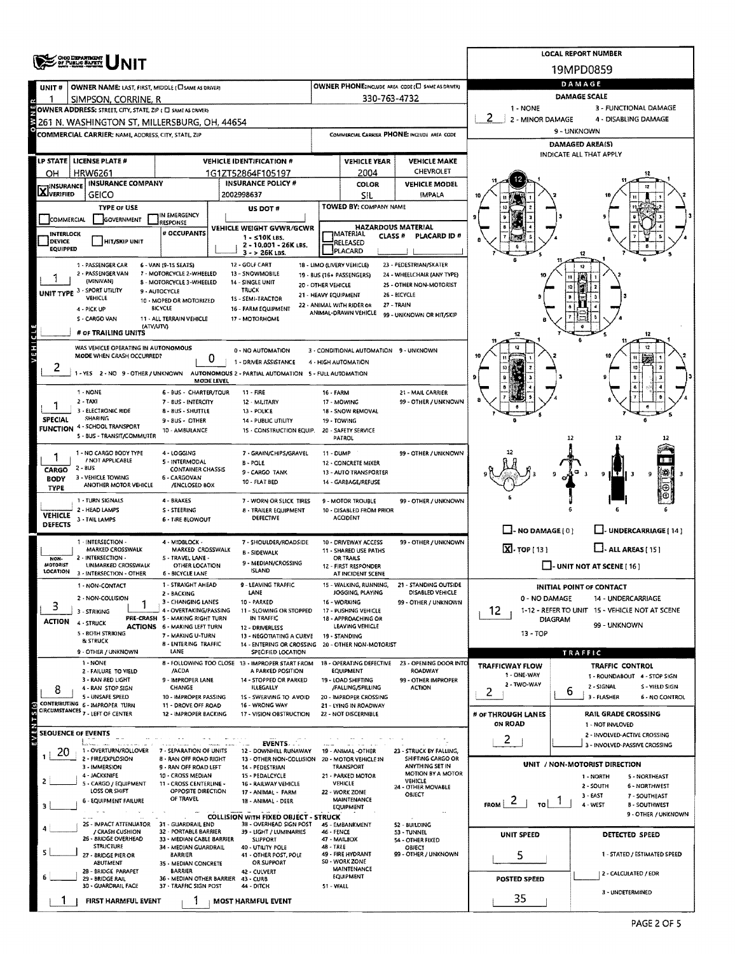|                                           |                                                             |                                                           |                                                                                          |                                                         |                                                 |                                                      |                                      | <b>LOCAL REPORT NUMBER</b>                                |  |  |  |  |
|-------------------------------------------|-------------------------------------------------------------|-----------------------------------------------------------|------------------------------------------------------------------------------------------|---------------------------------------------------------|-------------------------------------------------|------------------------------------------------------|--------------------------------------|-----------------------------------------------------------|--|--|--|--|
| <b>ONG DEPARTMENT</b><br>OF PUBLIC SAFETY |                                                             |                                                           |                                                                                          |                                                         |                                                 |                                                      |                                      | 19MPD0859                                                 |  |  |  |  |
| UNIT#                                     | OWNER NAME: LAST, FIRST, MIDDLE (CI SAME AS DRIVER)         |                                                           |                                                                                          |                                                         |                                                 | OWNER PHONE:INCLUDE AREA CODE (L) SAME AS DRIVER)    | DAMAGE                               |                                                           |  |  |  |  |
|                                           | SIMPSON, CORRINE, R                                         |                                                           |                                                                                          |                                                         | 330-763-4732                                    |                                                      |                                      | DAMAGE SCALE                                              |  |  |  |  |
|                                           | OWNER ADDRESS: STREET, CITY, STATE, ZIP ( C SAME AS DRIVER) |                                                           |                                                                                          |                                                         |                                                 |                                                      | 1 - NONE<br>2<br>2 - MINOR DAMAGE    | 3 - FUNCTIONAL DAMAGE<br>4 - DISABLING DAMAGE             |  |  |  |  |
|                                           | 261 N. WASHINGTON ST, MILLERSBURG, OH, 44654                |                                                           |                                                                                          |                                                         |                                                 |                                                      |                                      | 9 - UNKNOWN                                               |  |  |  |  |
|                                           | COMMERCIAL CARRIER: NAME, ADDRESS, CITY, STATE, ZIP         |                                                           |                                                                                          |                                                         |                                                 | COMMERCIAL CARRIER PHONE: INCLUDE AREA CODE          |                                      | <b>DAMAGED AREA(S)</b>                                    |  |  |  |  |
| <b>LP STATE</b>                           | LICENSE PLATE #                                             |                                                           | <b>VEHICLE IDENTIFICATION #</b>                                                          |                                                         | <b>VEHICLE YEAR</b>                             | <b>VEHICLE MAKE</b>                                  |                                      | INDICATE ALL THAT APPLY                                   |  |  |  |  |
| OН                                        | <b>HRW6261</b>                                              |                                                           | 1G1ZT52864F105197                                                                        |                                                         | 2004                                            | CHEVROLET                                            |                                      |                                                           |  |  |  |  |
| <b>X</b> INSURANCE                        | <b>INSURANCE COMPANY</b>                                    |                                                           | <b>INSURANCE POLICY #</b>                                                                |                                                         | <b>COLOR</b>                                    | <b>VEHICLE MODEL</b>                                 |                                      |                                                           |  |  |  |  |
|                                           | <b>GEICO</b>                                                |                                                           | 2002998637                                                                               |                                                         | SIL                                             | <b>IMPALA</b>                                        |                                      |                                                           |  |  |  |  |
| COMMERCIAL                                | <b>TYPE OF USE</b><br><b>GOVERNMENT</b>                     | IN EMERGENCY                                              | US DOT #                                                                                 |                                                         | TOWED BY: COMPANY NAME                          |                                                      |                                      |                                                           |  |  |  |  |
| <b>INTERLOCK</b>                          |                                                             | <b>RESPONSE</b><br># OCCUPANTS                            | VEHICLE WEIGHT GVWR/GCWR                                                                 |                                                         | <b>HAZARDOUS MATERIAL</b><br><b>MATERIAL</b>    |                                                      |                                      |                                                           |  |  |  |  |
| DEVICE                                    | <b>HIT/SKIP UNIT</b>                                        |                                                           | 1 - s10K LBS.<br>2 - 10.001 - 26K LBS.                                                   |                                                         | <b>CLASS#</b><br>RELEASED                       | PLACARD ID#                                          |                                      |                                                           |  |  |  |  |
| <b>EQUIPPED</b>                           |                                                             |                                                           | 3 - > 26K LBS.                                                                           |                                                         | PLACARD                                         |                                                      |                                      |                                                           |  |  |  |  |
|                                           | 1 - PASSENGER CAR<br>2 - PASSENGER VAN                      | 6 - VAN (9-15 SEATS)<br>7 - MOTORCYCLE 2-WHEELED          | 12 - GOLF CART<br>13 - SNOWMOBILE                                                        | 18 - LIMO (LIVERY VEHICLE)<br>19 - 8US (16+ PASSENGERS) |                                                 | 23 - PEDESTRIAN/SKATER<br>24 - WHEELCHAIR (ANY TYPE) |                                      |                                                           |  |  |  |  |
| UNIT TYPE 3 - SPORT UTILITY               | (MINIVAN)                                                   | 8 - MOTORCYCLE 3-WHEELED<br>9 - AUTOCYCLE                 | 14 - SINGLE UNIT<br>TRUCK                                                                | 20 - OTHER VEHICLE                                      |                                                 | 25 - OTHER NON-MOTORIST                              |                                      |                                                           |  |  |  |  |
|                                           | VEHICLE                                                     | 10 - MOPED OR MOTORIZED                                   | 15 - SEMI-TRACTOR                                                                        | 21 - HEAVY EQUIPMENT<br>22 - ANIMAL WITH RIDER OR       |                                                 | 26 - BICYCLE<br>27 - TRAIN                           |                                      |                                                           |  |  |  |  |
|                                           | 4 - PICK UP<br>S - CARGO VAN                                | <b>BICYCLE</b><br>11 - ALL TERRAIN VEHICLE                | 16 - FARM EQUIPMENT<br>17 - MOTORHOME                                                    |                                                         | ANIMAL-DRAWN VEHICLE                            | 99 - UNKNOWN OR HIT/SKIP                             |                                      |                                                           |  |  |  |  |
|                                           | (ATV/UTV)<br># OF TRAILING UNITS                            |                                                           |                                                                                          |                                                         |                                                 |                                                      |                                      |                                                           |  |  |  |  |
| VEHICL                                    | WAS VEHICLE OPERATING IN AUTONOMOUS                         |                                                           |                                                                                          |                                                         |                                                 |                                                      |                                      | 12                                                        |  |  |  |  |
|                                           | MODE WHEN CRASH OCCURRED?                                   | 0                                                         | 0 - NO AUTOMATION<br>1 - DRIVER ASSISTANCE                                               | 4 - HIGH AUTOMATION                                     | 3 - CONDITIONAL AUTOMATION 9 - UNKNOWN          |                                                      |                                      |                                                           |  |  |  |  |
| 2                                         |                                                             |                                                           | 1 - YES 2 - NO 9 - OTHER / UNKNOWN AUTONOMOUS 2 - PARTIAL AUTOMATION 5 - FULL AUTOMATION |                                                         |                                                 |                                                      |                                      |                                                           |  |  |  |  |
|                                           | 1 - NONE                                                    | <b>MODE LEVEL</b>                                         |                                                                                          |                                                         |                                                 |                                                      |                                      |                                                           |  |  |  |  |
|                                           | $2 - TAXI$                                                  | 6 - BUS - CHARTER/TOUR<br>7 - BUS - INTERCITY             | 11 - FIRE<br>12 - MILITARY                                                               | 16 - FARM                                               | 17 - MOWING                                     | 21 - MAIL CARRIER<br>99 - OTHER / UNKNOWN            |                                      |                                                           |  |  |  |  |
| <b>SPECIAL</b>                            | 3 - ELECTRONIC RIDE<br>SHARING                              | 8 - BUS - SHUTTLE                                         | 13 - POLICE                                                                              |                                                         | 18 - SNOW REMOVAL                               |                                                      |                                      |                                                           |  |  |  |  |
|                                           | FUNCTION 4 - SCHOOL TRANSPORT                               | 9 - BUS - OTHER<br>10 - AMBULANCE                         | 14 - PUBLIC UTILITY<br>15 - CONSTRUCTION EQUIP.                                          |                                                         | 19 - TOWING<br>20 - SAFETY SERVICE              |                                                      |                                      |                                                           |  |  |  |  |
|                                           | 5 - BUS - TRANSIT/COMMUTER                                  |                                                           |                                                                                          |                                                         | PATROL                                          |                                                      |                                      | 12<br>12                                                  |  |  |  |  |
|                                           | 1 - NO CARGO BODY TYPE<br>/ NOT APPLICABLE                  | 4 - LOGGING<br>5 - INTERMODAL                             | 7 - GRAIN/CHIPS/GRAVEL<br><b>B-POLE</b>                                                  | 11 - DUMP                                               | 12 - CONCRETE MIXER                             | 99 - OTHER / UNKNOWN                                 |                                      |                                                           |  |  |  |  |
| CARGO                                     | $2 - BUS$<br>3 - VEHICLE TOWING                             | <b>CONTAINER CHASSIS</b>                                  | 9 - CARGO TANK                                                                           |                                                         | 13 - AUTO TRANSPORTER                           |                                                      |                                      | 壣<br>$ \mathbf{T} $<br>9<br>9                             |  |  |  |  |
| <b>BODY</b><br><b>TYPE</b>                | ANOTHER MOTOR VEHICLE                                       | 6 - CARGOVAN<br>/ENCLOSED BOX                             | 10 - FLAT BED                                                                            |                                                         | 14 - GARBAGE/REFUSE                             |                                                      |                                      | ⊕                                                         |  |  |  |  |
|                                           | 1 - TURN SIGNALS                                            | 4 - BRAKES                                                | 7 - WORN OR SLICK TIRES                                                                  |                                                         | 9 - MOTOR TROUBLE                               | 99 - OTHER / UNKNOWN                                 |                                      |                                                           |  |  |  |  |
| <b>VEHICLE</b>                            | 2 - HEAD LAMPS<br>3 - TAIL LAMPS                            | S - STEERING<br>6 - TIRE BLOWOUT                          | 8 - TRAILER EQUIPMENT<br>DEFECTIVE                                                       |                                                         | 10 - DISABLED FROM PRIOR<br><b>ACCIDENT</b>     |                                                      |                                      |                                                           |  |  |  |  |
| <b>DEFECTS</b>                            |                                                             |                                                           |                                                                                          |                                                         |                                                 |                                                      | $\Box$ - NO DAMAGE [ 0 ]             | J- UNDERCARRIAGE [ 14 ]                                   |  |  |  |  |
|                                           | 1 - INTERSECTION -<br>MARKED CROSSWALK                      | 4 - MIDBLOCK -<br>MARKED CROSSWALK                        | 7 - SHOULDER/ROADSIDE                                                                    |                                                         | 10 - DRIVEWAY ACCESS<br>11 - SHARED USE PATHS   | 99 - OTHER / UNKNOWN                                 | $\boxed{\mathbf{X}}$ . TOP [13]      | $\Box$ - ALL AREAS (15)                                   |  |  |  |  |
| NON-<br>MOTORIST                          | 2 - INTERSECTION -<br>UNMARKED CROSSWALK                    | 5 - TRAVEL LANE -<br>OTHER LOCATION                       | <b>B - SIDEWALK</b><br>9 - MEDIAN/CROSSING                                               |                                                         | <b>OR TRAILS</b><br>12 - FIRST RESPONDER        |                                                      |                                      | $\Box$ - UNIT NOT AT SCENE [ 16 ]                         |  |  |  |  |
| LOCATION                                  | 3 - INTERSECTION - OTHER                                    | 6 - BICYCLE LANE                                          | ISLAND                                                                                   |                                                         | AT INCIDENT SCENE                               |                                                      |                                      |                                                           |  |  |  |  |
|                                           | 1 - NON-CONTACT                                             | 1 - STRAIGHT AHEAD<br>2 - BACKING                         | 9 - LEAVING TRAFFIC<br>LANE                                                              |                                                         | 15 - WALKING, RUNNING,<br>JOGGING, PLAYING      | <b>STANDING OUTSIDE</b><br>DISABLED VEHICLE          |                                      | <b>INITIAL POINT OF CONTACT</b>                           |  |  |  |  |
| 3                                         | 2 - NON-COLLISION                                           | 3 - CHANGING LANES                                        | 10 - PARKED                                                                              |                                                         | 16 - WORKING                                    | 99 - OTHER / UNKNOWN                                 | 0 - NO DAMAGE                        | 14 - UNDERCARRIAGE                                        |  |  |  |  |
| ACTION                                    | 3 - STRIKING<br>4 - STRUCK                                  | 4 - OVERTAKING/PASSING<br>PRE-CRASH 5 - MAKING RIGHT TURN | 11 - SLOWING OR STOPPED<br>IN TRAFFIC                                                    |                                                         | 17 - PUSHING VEHICLE<br>18 - APPROACHING OR     |                                                      | 12                                   | 1-12 - REFER TO UNIT 15 - VEHICLE NOT AT SCENE<br>DIAGRAM |  |  |  |  |
|                                           | 5 - BOTH STRIKING                                           | <b>ACTIONS 6 - MAKING LEFT TURN</b><br>7 - MAKING U-TURN  | 12 - DRIVERLESS<br>13 - NEGOTIATING A CURVE                                              |                                                         | LEAVING VEHICLE<br>19 - STANDING                |                                                      | 13 - TOP                             | 99 - UNKNOWN                                              |  |  |  |  |
|                                           | <b>BLISTRUCK</b><br>9 - OTHER / UNKNOWN                     | <b>B - ENTERING TRAFFIC</b><br>LANE                       | 14 - ENTERING OR CROSSING<br>SPECIFIED LOCATION                                          |                                                         | 20 - OTHER NON-MOTORIST                         |                                                      |                                      |                                                           |  |  |  |  |
|                                           | 1 - NONE                                                    |                                                           | 8 - FOLLOWING TOO CLOSE 13 - IMPROPER START FROM                                         |                                                         | 18 - OPERATING DEFECTIVE                        | 23 - OPENING DOOR INTO                               | TRAFFICWAY FLOW                      | TRAFFIC<br><b>TRAFFIC CONTROL</b>                         |  |  |  |  |
|                                           | 2 - FAILURE TO VIELD<br>3 - RAN RED LIGHT                   | /ACDA<br>9 - IMPROPER LANE                                | A PARKED POSITION<br>14 - STOPPED OR PARKED                                              |                                                         | EQUIPMENT<br>19 - LOAD SHIFTING                 | ROADWAY<br>99 - OTHER IMPROPER                       | 1 - ONE-WAY                          | 1 - ROUNDABOUT 4 - STOP SIGN                              |  |  |  |  |
| 8                                         | 4 - RAN STOP SIGN                                           | <b>CHANGE</b>                                             | <b>ILLEGALLY</b>                                                                         |                                                         | /FALLING/SPILLING                               | <b>ACTION</b>                                        | 2 - TWO-WAY<br>2                     | 2 - SIGNAL<br>S - YIELD SIGN<br>6                         |  |  |  |  |
|                                           | 5 - UNSAFE SPEED<br>CONTRIBUTING 6 - IMPROPER TURN          | 10 - IMPROPER PASSING<br>11 - DROVE OFF ROAD              | 1S - SWERVING TO AVOID<br>16 - WRONG WAY                                                 |                                                         | 20 - IMPROPER CROSSING<br>21 - LYING IN ROADWAY |                                                      |                                      | 3 - FLASHER<br>6 - NO CONTROL                             |  |  |  |  |
|                                           | CIRCUMSTANCES 7 - LEFT OF CENTER                            | 12 - IMPROPER BACKING                                     | 17 - VISION OBSTRUCTION                                                                  |                                                         | 22 - NOT DISCERNIBLE                            |                                                      | # of THROUGH LANES<br><b>ON ROAD</b> | <b>RAIL GRADE CROSSING</b><br>1 - NOT INVLOVED            |  |  |  |  |
| <b>SEQUENCE OF EVENTS</b>                 |                                                             |                                                           |                                                                                          |                                                         |                                                 |                                                      |                                      | 2 - INVOLVED-ACTIVE CROSSING                              |  |  |  |  |
| E٧<br>20                                  | 1 - OVERTURN/ROLLOVER                                       | 7 - SEPARATION OF UNITS                                   | EVENTS.<br>12 - DOWNHILL RUNAWAY                                                         |                                                         | 19 - ANIMAL -OTHER                              | 23 - STRUCK BY FALLING,                              | $\overline{2}$                       | 3 - INVOLVED-PASSIVE CROSSING                             |  |  |  |  |
|                                           | 2 - FIRE/EXPLOSION<br>3 - IMMERSION                         | <b>8 - RAN OFF ROAD RIGHT</b><br>9 - RAN OFF ROAD LEFT    | 13 - OTHER NON-COLLISION<br>14 - PEDESTRIAN                                              |                                                         | 20 - MOTOR VEHICLE IN<br>TRANSPORT              | SHIFTING CARGO OR<br>ANYTHING SET IN                 |                                      | UNIT / NON-MOTORIST DIRECTION                             |  |  |  |  |
|                                           | 4 - JACKXNIFE                                               | 10 - CROSS MEDIAN                                         | 15 - PEDALCYCLE                                                                          |                                                         | 21 - PARKED MOTOR<br>VEHICLE                    | MOTION BY A MOTOR<br>VEHICLE                         |                                      | 1 - NORTH<br>5 - NORTHEAST                                |  |  |  |  |
|                                           | 5 - CARGO / EQUIPMENT<br>LOSS OR SHIFT                      | 11 - CROSS CENTERLINE -<br>OPPOSITE DIRECTION             | 16 - RAILWAY VEHICLE<br>17 - ANIMAL - FARM                                               |                                                         | 22 - WORK ZONE                                  | 24 - OTHER MOVABLE<br>OBJECT                         |                                      | 2 - SOUTH<br>6 - NORTHWEST<br>$3 - EAST$<br>7 - SOUTHEAST |  |  |  |  |
| з                                         | <b>6 - EQUIPMENT FAILURE</b>                                | OF TRAVEL                                                 | 18 - ANIMAL - DEER                                                                       |                                                         | <b>MAINTENANCE</b><br><b>EQUIPMENT</b>          |                                                      | $\epsilon$<br><b>FROM</b><br>TO !    | 4 - WEST<br><b>B - SOUTHWEST</b>                          |  |  |  |  |
|                                           | 25 - IMPACT ATTENUATOR 31 - GUARDRAIL END                   |                                                           | <b>COLLISION WITH FIXED OBJECT - STRUCK</b><br>38 - OVERHEAD SIGN POST                   |                                                         | 45 - EMBANKMENT                                 | 52 - BUILDING                                        |                                      | 9 - OTHER / UNKNOWN                                       |  |  |  |  |
|                                           | / CRASH CUSHION<br>26 - BRIDGE OVERHEAD                     | 32 - PORTABLE BARRIER<br>33 - MEDIAN CABLE BARRIER        | 39 - LIGHT / LUMINARIES<br><b>SUPPORT</b>                                                | 46 - FENCE                                              | 47 - MAILBOX                                    | 53 - TUNNEL<br>54 - OTHER FIXED                      | UNIT SPEED                           | DETECTED SPEED                                            |  |  |  |  |
|                                           | <b>STRUCTURE</b><br>27 - BRIDGE PIER OR                     | 34 - MEDIAN GUARDRAIL<br><b>BARRIER</b>                   | 40 - UTILITY POLE<br>41 - OTHER POST, POLE                                               | 48 - TREE                                               | 49 - FIRE HYDRANT                               | OBJECT<br>99 - OTHER / UNKNOWN                       | 5                                    | 1 - STATED / ESTIMATED SPEED                              |  |  |  |  |
|                                           | ABUTMENT                                                    | 35 - MEDIAN CONCRETE                                      | OR SUPPORT                                                                               |                                                         | <b>SO - WORK ZONE</b><br>MAINTENANCE            |                                                      |                                      |                                                           |  |  |  |  |
|                                           | 2B - BRIDGE PARAPET<br>29 - BRIDGE RAIL                     | <b>BARRIER</b><br>36 - MEDIAN OTHER BARRIER 43 - CURB     | 42 - CULVERT                                                                             |                                                         | EQUIPMENT                                       |                                                      | POSTED SPEED                         | 2 - CALCULATED / EDR                                      |  |  |  |  |
|                                           | 30 - GUARDRAIL FACE                                         | 37 - TRAFFIC SIGN POST                                    | 44 - DITCH                                                                               | 51 - WALL                                               |                                                 |                                                      |                                      | 3 - UNDETERMINED                                          |  |  |  |  |
|                                           | FIRST HARMFUL EVENT                                         |                                                           | <b>MOST HARMFUL EVENT</b>                                                                |                                                         |                                                 |                                                      | 35                                   |                                                           |  |  |  |  |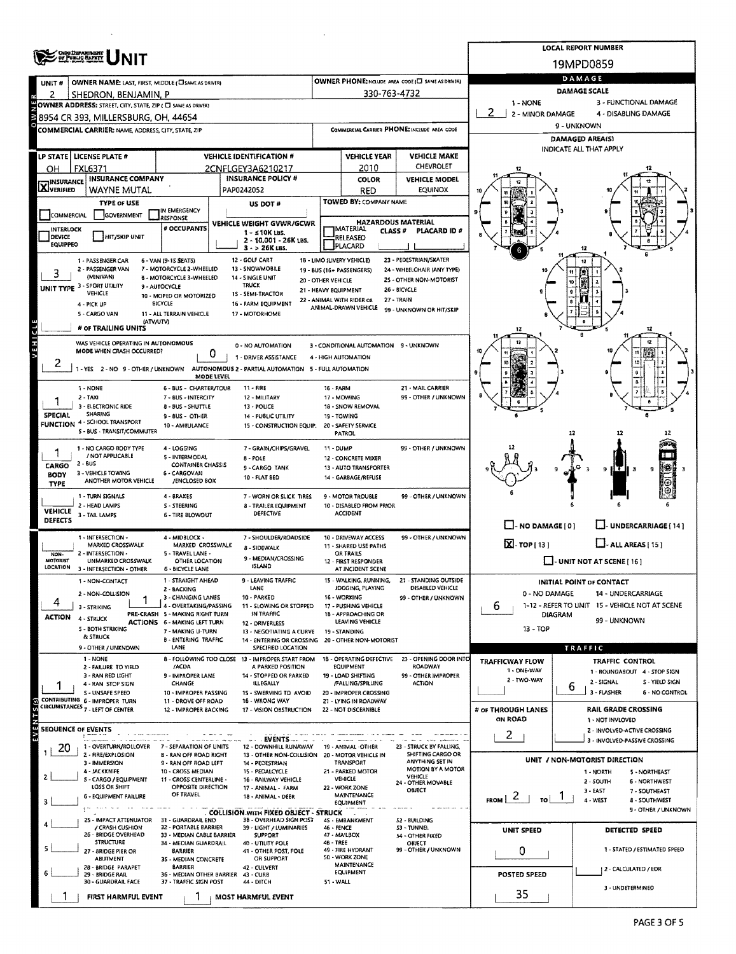|                                               | <b>ONG DEPARTMENT</b><br>NIT                                                                                                                       |                                                                                                                                                                                            |                                                                                                                              |                                                                                                                                    |                                                                                         |                                                                                                                                           |                                | <b>LOCAL REPORT NUMBER</b>                                                                    |
|-----------------------------------------------|----------------------------------------------------------------------------------------------------------------------------------------------------|--------------------------------------------------------------------------------------------------------------------------------------------------------------------------------------------|------------------------------------------------------------------------------------------------------------------------------|------------------------------------------------------------------------------------------------------------------------------------|-----------------------------------------------------------------------------------------|-------------------------------------------------------------------------------------------------------------------------------------------|--------------------------------|-----------------------------------------------------------------------------------------------|
|                                               |                                                                                                                                                    |                                                                                                                                                                                            |                                                                                                                              |                                                                                                                                    |                                                                                         |                                                                                                                                           |                                | 19MPD0859                                                                                     |
| UNIT#                                         | OWNER NAME: LAST, FIRST, MIDDLE (CI SAME AS DRIVER)                                                                                                |                                                                                                                                                                                            |                                                                                                                              |                                                                                                                                    |                                                                                         | OWNER PHONE:INCLUDE AREA CODE (E SAME AS DRIVER)                                                                                          |                                | DAMAGE                                                                                        |
| 2                                             | SHEDRON, BENJAMIN, P                                                                                                                               |                                                                                                                                                                                            |                                                                                                                              |                                                                                                                                    | 330-763-4732                                                                            |                                                                                                                                           | 1 - NONE                       | DAMAGE SCALE<br>3 - FUNCTIONAL DAMAGE                                                         |
|                                               | OWNER ADDRESS: STREET, CITY, STATE, ZIP ( C SAME AS ORIVER)<br>8954 CR 393, MILLERSBURG, OH, 44654                                                 |                                                                                                                                                                                            |                                                                                                                              |                                                                                                                                    |                                                                                         |                                                                                                                                           | 2.<br>2 - MINOR DAMAGE         | 4 - DISABLING DAMAGE                                                                          |
|                                               | COMMERCIAL CARRIER: NAME, ADDRESS, CITY, STATE, ZIP                                                                                                |                                                                                                                                                                                            |                                                                                                                              |                                                                                                                                    |                                                                                         | COMMERCIAL CARRIER PHONE: INCLUDE AREA CODE                                                                                               |                                | 9 - UNKNOWN                                                                                   |
|                                               |                                                                                                                                                    |                                                                                                                                                                                            |                                                                                                                              |                                                                                                                                    |                                                                                         |                                                                                                                                           |                                | <b>DAMAGED AREA(S)</b><br>INDICATE ALL THAT APPLY                                             |
|                                               | LP STATE LICENSE PLATE #                                                                                                                           |                                                                                                                                                                                            | <b>VEHICLE IDENTIFICATION #</b>                                                                                              |                                                                                                                                    | <b>VEHICLE YEAR</b>                                                                     | <b>VEHICLE MAKE</b>                                                                                                                       |                                |                                                                                               |
| OH                                            | <b>FXL6371</b><br><b>INSURANCE COMPANY</b>                                                                                                         |                                                                                                                                                                                            | 2CNFLGEY3A6210217<br><b>INSURANCE POLICY #</b>                                                                               |                                                                                                                                    | 2010                                                                                    | <b>CHEVROLET</b><br><b>VEHICLE MODEL</b>                                                                                                  |                                |                                                                                               |
| <b>INSURANCE</b><br><b>X</b> VERIFIED         | WAYNE MUTAL                                                                                                                                        |                                                                                                                                                                                            | PAP0242052                                                                                                                   |                                                                                                                                    | COLOR<br>RED                                                                            | <b>EQUINOX</b>                                                                                                                            |                                |                                                                                               |
|                                               | <b>TYPE OF USE</b>                                                                                                                                 |                                                                                                                                                                                            | US DOT #                                                                                                                     |                                                                                                                                    | TOWED BY: COMPANY NAME                                                                  |                                                                                                                                           |                                |                                                                                               |
| COMMERCIAL                                    | GOVERNMENT                                                                                                                                         | IN EMERGENCY<br><b>ARESPONSE</b>                                                                                                                                                           | VEHICLE WEIGHT GVWR/GCWR                                                                                                     |                                                                                                                                    |                                                                                         | <b>HAZARDOUS MATERIAL</b>                                                                                                                 |                                |                                                                                               |
| INTERLOCK<br><b>DEVICE</b><br><b>EQUIPPEO</b> | HIT/SKIP UNIT                                                                                                                                      | # OCCUPANTS                                                                                                                                                                                | $1 - 510K$ LBS.<br>2 - 10.001 - 26K LBS.<br>3 - > 26K LBS.                                                                   |                                                                                                                                    | <b>JMATERIAL</b><br><b>CLASS#</b><br>RELEASED<br>PLACARD                                | PLACARD ID #                                                                                                                              |                                | 12                                                                                            |
| 3                                             | 1 - PASSENGER CAR<br>2 PASSENGER VAN<br>(MINIVAN)<br>UNIT TYPE 3 - SPORT UTILITY<br>VEHICLE<br>4 - PICK UP<br>5 - CARGO VAN<br># OF TRAILING UNITS | 6 - VAN (9-15 SEATS)<br>7 - MOTORCYCLE 2-WHEELED<br><b>B - MOTORCYCLE 3-WHEELED</b><br>9 - AUTOCYCLE<br>10 - MOPED OR MOTORIZED<br><b>BICYCLE</b><br>11 - ALL TERRAIN VEHICLE<br>(ΑΤV/UTV) | 12 - GOLF CART<br>13 - SNOWMOBILE<br>14 - SINGLE UNIT<br>TRUCK<br>15 - SEMI-TRACTOR<br>16 - FARM EQUIPMENT<br>17 - MOTORHOME | 18 - LIMO (LIVERY VEHICLE)<br>19 - BUS (16+ PASSENGERS)<br>20 - OTHER VEHICLE<br>21 - HEAVY EQUIPMENT<br>22 - ANIMAL WITH RIDER OR | ANIMAL-DRAWN VEHICLE                                                                    | 23 - PEDESTRIAN/SKATER<br>24 - WHEELCHAIR (ANY TYPE)<br>25 - OTHER NON-MOTORIST<br>26 - BICYCLE<br>27 - TRAIN<br>99 - UNKNOWN OR HIT/SKIP | 12                             | 12                                                                                            |
| VEHICL                                        | WAS VEHICLE OPERATING IN AUTONOMOUS<br>MODE WHEN CRASH OCCURRED?                                                                                   |                                                                                                                                                                                            | 0 - NO AUTOMATION<br>0<br>1 - DRIVER ASSISTANCE                                                                              |                                                                                                                                    | 3 - CONDITIONAL AUTOMATION 9 - UNKNOWN<br>4 - HIGH AUTOMATION                           |                                                                                                                                           | R.                             | 12                                                                                            |
| 2                                             | 1 - YES 2 - NO 9 - OTHER / UNKNOWN<br>1 - NONE                                                                                                     | 6 - BUS - CHARTER/TOUR                                                                                                                                                                     | AUTONOMOUS 2 - PARTIAL AUTOMATION 5 - FULL AUTOMATION<br>MODE LEVEL<br>$11 - FIRE$                                           | 16 - FARM                                                                                                                          |                                                                                         | 21 - MAIL CARRIER                                                                                                                         |                                |                                                                                               |
| <b>SPECIAL</b>                                | 2 - TAXI<br>3 - ELECTRONIC RIDE<br><b>SHARING</b><br>FUNCTION 4 - SCHOOL TRANSPORT<br>S - BUS - TRANSIT/COMMUTER                                   | 7 - BUS - INTERCITY<br>8 - BUS - SHUTTLE<br>9 - BUS - OTHER<br>10 - AMBULANCE                                                                                                              | 12 - MILITARY<br>13 - POLICE<br>14 - PUBLIC UTILITY<br>15 - CONSTRUCTION EQUIP.                                              |                                                                                                                                    | 17 - MOWING<br>18 - SNOW REMOVAL<br>19 - TOWING<br>20 - SAFETY SERVICE<br><b>PATROL</b> | 99 - OTHER / UNKNOWN                                                                                                                      |                                | 12<br>12                                                                                      |
| CARGO<br><b>BODY</b><br><b>TYPE</b>           | 1 - NO CARGO BODY TYPE<br>/ NOT APPLICABLE<br>$2 - 8US$<br>3 - VEHICLE TOWING<br>ANOTHER MOTOR VEHICLE                                             | 4 - LOGGING<br>5 - INTERMODAL<br><b>CONTAINER CHASSIS</b><br>6 - CARGOVAN<br>/ENCLOSED BOX                                                                                                 | 7 - GRAIN/CHIPS/GRAVEL<br>8 - POLE<br>9 - CARGO TANK<br>10 - FLAT BED                                                        | 11 - DUMP                                                                                                                          | 12 - CONCRETE MIXER<br>13 - AUTO TRANSPORTER<br>14 - GARBAGE/REFUSE                     | 99 - OTHER / UNKNOWN                                                                                                                      |                                | 9 ILT<br>9                                                                                    |
| <b>VEHICLE</b><br>DEFECTS                     | 1 - TURN SIGNALS<br>2 - HEAD LAMPS<br>3 - TAIL LAMPS                                                                                               | 4 - BRAKES<br>S - STEERING<br><b>6 - TIRE BLOWOUT</b>                                                                                                                                      | 7 - WORN OR SLICK TIRES<br>8 - TRAILER EQUIPMENT<br>DEFECTIVE                                                                |                                                                                                                                    | 9 - MOTOR TROUBLE<br>10 - DISABLED FROM PRIOR<br><b>ACCIDENT</b>                        | 99 - OTHER / UNKNOWN                                                                                                                      | $\Box$ - NO DAMAGE [0]         | LI- UNDERCARRIAGE [14]                                                                        |
|                                               | 1 - INTERSECTION -                                                                                                                                 | 4 - MIDBLOCK -                                                                                                                                                                             | 7 - SHOULDER/ROADSIDE                                                                                                        |                                                                                                                                    | 10 - DRIVEWAY ACCESS                                                                    | 99 - OTHER / UNKNOWN                                                                                                                      | $\boxed{\mathbf{X}}$ -TOP [13] |                                                                                               |
| NON-<br><b>MOTORIST</b>                       | MARKED CROSSWALK<br>2 - INTERSECTION -<br>UNMARKED CROSSWALK                                                                                       | MARKED CROSSWALK<br>5 - TRAVEL LANE -<br>OTHER LOCATION                                                                                                                                    | 8 - SIDEWALK<br>9 - MEDIAN/CROSSING<br><b>ISLAND</b>                                                                         |                                                                                                                                    | 11 - SHARED USE PATHS<br>OR TRAILS<br>12 - FIRST RESPONDER                              |                                                                                                                                           |                                | $\Box$ - ALL AREAS [ 15 ]<br>$\Box$ - UNIT NOT AT SCENE [ 16 ]                                |
| LOCATION                                      | 3 - INTERSECTION - OTHER                                                                                                                           | 6 - BICYCLE LANE<br>1 - STRAIGHT AHEAD                                                                                                                                                     | 9 - LEAVING TRAFFIC                                                                                                          |                                                                                                                                    | AT INCIDENT SCENE<br>15 - WALKING, RUNNING,                                             | 21 - STANDING OUTSIDE                                                                                                                     |                                |                                                                                               |
|                                               | 1 - NON-CONTACT<br>2 - NON-COLLISION                                                                                                               | 2 - BACKING                                                                                                                                                                                | LANE                                                                                                                         |                                                                                                                                    | JOGGING, PLAYING                                                                        | DISABLED VEHICLE                                                                                                                          | 0 - NO DAMAGE                  | <b>INITIAL POINT OF CONTACT</b><br>14 - UNDERCARRIAGE                                         |
|                                               | 3 - STRIKING                                                                                                                                       | 3 - CHANGING LANES<br>4 - OVERTAKING/PASSING                                                                                                                                               | 10 - PARKED<br>11 - SLOWING OR STOPPED                                                                                       |                                                                                                                                    | 16 WORKING<br>17 - PUSHING VEHICLE                                                      | 99 - OTHER / UNKNOWN                                                                                                                      | 6                              | 1-12 - REFER TO UNIT 15 - VEHICLE NOT AT SCENE                                                |
| <b>ACTION</b>                                 | 4 - STRUCK                                                                                                                                         | PRE-CRASH 5 - MAKING RIGHT TURN<br>ACTIONS 6 - MAKING LEFT TURN                                                                                                                            | IN TRAFFIC<br>12 - DRIVERLESS                                                                                                |                                                                                                                                    | 1B - APPROACHING OR<br>LEAVING VEHICLE                                                  |                                                                                                                                           | <b>DIAGRAM</b>                 | 99 - UNKNOWN                                                                                  |
|                                               | 5 - BOTH STRIKING<br>& STRUCK                                                                                                                      | 7 - MAKING U-TURN<br><b>B - ENTERING TRAFFIC</b>                                                                                                                                           | 13 - NEGOTIATING A CURVE                                                                                                     |                                                                                                                                    | 19 - STANDING                                                                           |                                                                                                                                           | $13 - TOP$                     |                                                                                               |
|                                               | 9 - OTHER / UNKNOWN                                                                                                                                | LANE                                                                                                                                                                                       | 14 - ENTERING OR CROSSING 20 - OTHER NON-MOTORIST<br>SPECIFIED LOCATION                                                      |                                                                                                                                    |                                                                                         |                                                                                                                                           |                                | <b>TRAFFIC</b>                                                                                |
|                                               | 1 - NONE<br>2 - FAILURE TO YIELD                                                                                                                   | /ACDA                                                                                                                                                                                      | 8 - FOLLOWING TOO CLOSE 13 - IMPROPER START FROM<br>A PARKED POSITION                                                        |                                                                                                                                    | 18 - OPERATING DEFECTIVE<br>EQUIPMENT                                                   | 23 - OPENING DOOR INTO<br>ROADWAY                                                                                                         | <b>TRAFFICWAY FLOW</b>         | <b>TRAFFIC CONTROL</b>                                                                        |
|                                               | 3 - RAN RED LIGHT<br>4 - RAN STOP SIGN                                                                                                             | 9 - IMPROPER LANE<br>CHANGE                                                                                                                                                                | 14 - STOPPED OR PARKED<br><b>ILLEGALLY</b>                                                                                   |                                                                                                                                    | 19 - LOAD SHIFTING<br>/FALUNG/SPILLING                                                  | 99 - OTHER IMPROPER<br><b>ACTION</b>                                                                                                      | 1 - ONE-WAY<br>2 - TWO-WAY     | 1 - ROUNDABOUT 4 - STOP SIGN<br>2 - SIGNAL<br>S - YIELD SIGN                                  |
|                                               | S - UNSAFE SPEED                                                                                                                                   | 10 - IMPROPER PASSING                                                                                                                                                                      | 15 - SWERVING TO AVOID                                                                                                       |                                                                                                                                    | 20 - IMPROPER CROSSING                                                                  |                                                                                                                                           |                                | b<br>3 - FLASHER<br><b>6 - NO CONTROL</b>                                                     |
|                                               | CONTRIBUTING 6 - IMPROPER TURN<br>CIRCUMSTANCES 7 - LEFT OF CENTER                                                                                 | 11 - DROVE OFF ROAD<br>12 - IMPROPER BACKING                                                                                                                                               | 16 - WRONG WAY<br>17 - VISION OBSTRUCTION                                                                                    |                                                                                                                                    | 21 - LYING IN ROADWAY<br>22 - NOT DISCERNIBLE                                           |                                                                                                                                           | # or THROUGH LANES             | <b>RAIL GRADE CROSSING</b>                                                                    |
| VENTS <sub>S</sub>                            |                                                                                                                                                    |                                                                                                                                                                                            |                                                                                                                              |                                                                                                                                    |                                                                                         |                                                                                                                                           | ON ROAD                        | 1 - NOT INVLOVED                                                                              |
| <b>SEQUENCE OF EVENTS</b><br>20               | 1 OVERTURN/ROLLOVER                                                                                                                                | 7 - SEPARATION OF UNITS                                                                                                                                                                    | EVENTS<br>12 - DOWNHILL RUNAWAY                                                                                              |                                                                                                                                    | 19 - ANIMAL -OTHER                                                                      | 23 - STRUCK BY FALLING.                                                                                                                   | $\mathbf{2}$                   | 2 - INVOLVED-ACTIVE CROSSING<br>3 - INVOLVED-PASSIVE CROSSING                                 |
|                                               | 2 - FIRE/EXPLOSION<br>3 - IMMERSION<br>4 - JACKKNIFE                                                                                               | <b>B - RAN OFF ROAD RIGHT</b><br>9 - RAN OFF ROAD LEFT<br>10 - CROSS MEDIAN                                                                                                                | 13 - OTHER NON-COLLISION<br>14 - PEDESTRIAN<br>15 - PEDALCYCLE                                                               |                                                                                                                                    | <b>20 - MOTOR VEHICLE IN</b><br>TRANSPORT<br>21 - PARKED MOTOR                          | SHIFTING CARGO OR<br>ANYTHING SET IN<br>MOTION BY A MOTOR<br>VEHICLE                                                                      |                                | UNIT / NON-MOTORIST DIRECTION<br>1 - NORTH<br>5 - NORTHEAST                                   |
|                                               | 5 - CARGO / EQUIPMENT<br>LOSS OR SHIFT<br><b>6 - EQUIPMENT FAILURE</b>                                                                             | 11 - CROSS CENTERLINE -<br>OPPOSITE DIRECTION<br>OF TRAVEL                                                                                                                                 | 16 - RAILWAY VEHICLE<br>17 - ANIMAL - FARM<br>18 - ANIMAL - DEER                                                             |                                                                                                                                    | VEHICLE<br>22 - WORK ZONE<br>MAINTENANCE<br><b>EQUIPMENT</b>                            | 24 - OTHER MOVABLE<br>OBJECT                                                                                                              | $F_{\text{ROM}}$ 2<br>TO.      | 2 - SOUTH<br><b>6 - NORTHWEST</b><br>$3 - EAST$<br>7 - SOUTHEAST<br>4 - WEST<br>8 - SOUTHWEST |
|                                               | 25 - IMPACT ATTENUATOR                                                                                                                             | 31 - GUARDRAIL END                                                                                                                                                                         | <b>COLLISION WITH FIXED OBJECT - STRUCK</b><br>38 - OVERHEAD SIGN POST                                                       |                                                                                                                                    | 45 - EMBANKMENT                                                                         | <b>S2 - BUILDING</b>                                                                                                                      |                                | <b>9 - OTHER / UNKNOWN</b>                                                                    |
|                                               | / CRASH CUSHION<br>26 - BRIDGE OVERHEAD<br><b>STRUCTURE</b>                                                                                        | 32 - PORTABLE BARRIER<br>33 - MEDIAN CABLE BARRIER<br>34 - MEDIAN GUARDRAIL                                                                                                                | 39 - LIGHT / LUMINARIES<br><b>SUPPORT</b><br>40 - UTILITY POLE                                                               | 46 - FENCE<br>48 - TREE                                                                                                            | 47 - MAILBOX                                                                            | 53 - TUNNEL<br>54 - OTHER FIXED<br>OBJECT                                                                                                 | UNIT SPEED                     | DETECTED SPEED                                                                                |
|                                               | 27 - 8RIOGE PIER OR<br><b>ABUTMENT</b><br>28 - BRIDGE PARAPET                                                                                      | <b>BARRIER</b><br>35 - MEDIAN CONCRETE<br><b>BARRIER</b>                                                                                                                                   | 41 - OTHER POST, POLE<br>OR SUPPORT<br>42 - CULVERT                                                                          |                                                                                                                                    | 49 - FIRE HYDRANT<br>50 - WORK ZONE<br><b>MAINTENANCE</b>                               | 99 - OTHER / UNKNOWN                                                                                                                      | 0                              | 1 - STATED / ESTIMATED SPEED<br>2 - CALCULATED / EDR                                          |
|                                               | 29 - BRIDGE RAIL<br>30 - GUARDRAIL FACE                                                                                                            | 36 - MEDIAN OTHER BARRIER<br>37 - TRAFFIC SIGN POST                                                                                                                                        | 43 - CURB<br>44 - DITCH                                                                                                      | 51 - WALL                                                                                                                          | EQUIPMENT                                                                               |                                                                                                                                           | <b>POSTED SPEED</b>            | 3 - UNDETERMINED                                                                              |
|                                               | <b>FIRST HARMFUL EVENT</b>                                                                                                                         |                                                                                                                                                                                            | <b>MOST HARMFUL EVENT</b>                                                                                                    |                                                                                                                                    |                                                                                         |                                                                                                                                           | 35                             |                                                                                               |